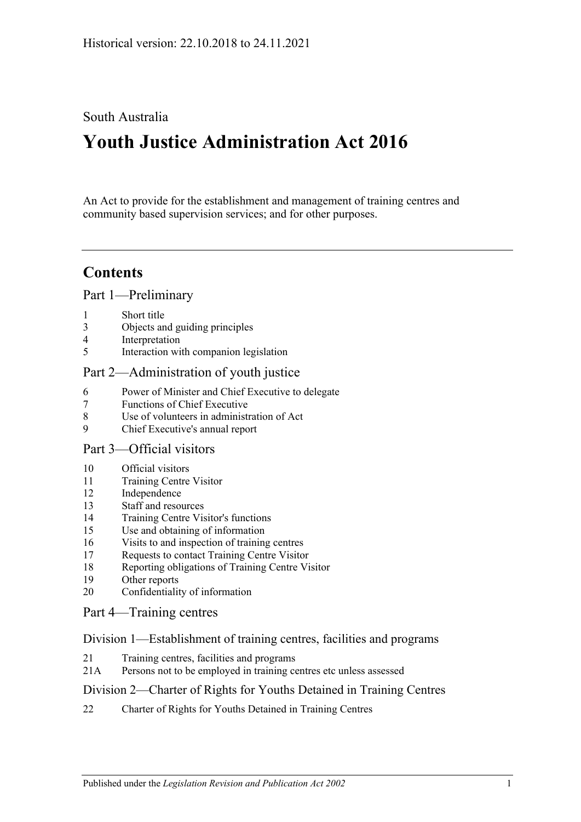# South Australia

# **Youth Justice Administration Act 2016**

An Act to provide for the establishment and management of training centres and community based supervision services; and for other purposes.

# **Contents**

Part [1—Preliminary](#page-2-0)

- 1 [Short title](#page-2-1)
- 3 [Objects and guiding principles](#page-2-2)
- 4 [Interpretation](#page-3-0)
- 5 [Interaction with companion legislation](#page-5-0)

### Part [2—Administration of youth justice](#page-5-1)

- 6 [Power of Minister and Chief Executive to delegate](#page-5-2)
- 7 [Functions of Chief Executive](#page-6-0)
- 8 [Use of volunteers in administration of Act](#page-6-1)
- 9 [Chief Executive's annual report](#page-6-2)

#### Part [3—Official visitors](#page-6-3)

- 10 [Official visitors](#page-6-4)
- 11 [Training Centre Visitor](#page-7-0)
- 12 [Independence](#page-8-0)
- 13 [Staff and resources](#page-8-1)
- 14 [Training Centre Visitor's functions](#page-8-2)
- 15 [Use and obtaining of information](#page-9-0)
- 16 [Visits to and inspection of training centres](#page-9-1)
- 17 [Requests to contact Training Centre Visitor](#page-10-0)
- 18 [Reporting obligations of Training Centre Visitor](#page-10-1)
- 19 [Other reports](#page-10-2)
- 20 [Confidentiality of information](#page-11-0)

#### Part [4—Training centres](#page-11-1)

#### Division [1—Establishment of training centres, facilities and programs](#page-11-2)

- 21 [Training centres, facilities and programs](#page-11-3)
- 21A [Persons not to be employed in training centres etc unless assessed](#page-11-4)

#### Division [2—Charter of Rights for Youths Detained in Training Centres](#page-12-0)

22 [Charter of Rights for Youths Detained in Training Centres](#page-12-1)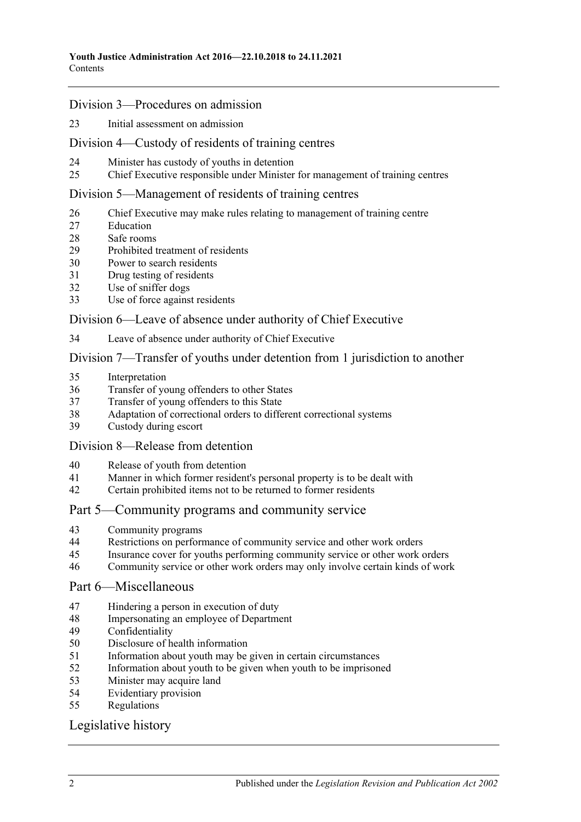#### Division [3—Procedures on admission](#page-12-2)

[Initial assessment on admission](#page-12-3)

#### Division [4—Custody of residents of training centres](#page-14-0)

- [Minister has custody of youths in detention](#page-14-1)
- [Chief Executive responsible under Minister for management of training centres](#page-14-2)

#### Division [5—Management of residents of training centres](#page-15-0)

- [Chief Executive may make rules relating to management of training centre](#page-15-1)
- [Education](#page-15-2)
- [Safe rooms](#page-15-3)
- [Prohibited treatment of residents](#page-17-0)
- [Power to search residents](#page-17-1)
- [Drug testing of residents](#page-19-0)
- [Use of sniffer dogs](#page-19-1)
- [Use of force against residents](#page-20-0)

#### Division [6—Leave of absence under authority of Chief Executive](#page-21-0)

[Leave of absence under authority of Chief Executive](#page-21-1)

#### Division [7—Transfer of youths under detention from 1 jurisdiction to another](#page-22-0)

- [Interpretation](#page-22-1)
- [Transfer of young offenders to other States](#page-23-0)
- [Transfer of young offenders to this State](#page-24-0)
- [Adaptation of correctional orders to different correctional systems](#page-25-0)
- [Custody during escort](#page-25-1)

#### Division [8—Release from detention](#page-25-2)

- [Release of youth from detention](#page-25-3)
- [Manner in which former resident's personal property is to be dealt with](#page-25-4)
- [Certain prohibited items not to be returned to former residents](#page-26-0)

#### Part [5—Community programs and community service](#page-26-1)

- [Community programs](#page-26-2)
- [Restrictions on performance of community service and other work orders](#page-27-0)
- [Insurance cover for youths performing community service or other work orders](#page-28-0)
- [Community service or other work orders may only involve certain kinds of work](#page-28-1)

#### Part [6—Miscellaneous](#page-28-2)

- [Hindering a person in execution of duty](#page-28-3)
- [Impersonating an employee of Department](#page-28-4)
- [Confidentiality](#page-28-5)
- [Disclosure of health information](#page-29-0)
- [Information about youth may be given in certain circumstances](#page-29-1)
- [Information about youth to be given when youth to be imprisoned](#page-30-0)
- [Minister may acquire land](#page-30-1)
- [Evidentiary provision](#page-30-2)
- [Regulations](#page-30-3)

# [Legislative history](#page-32-0)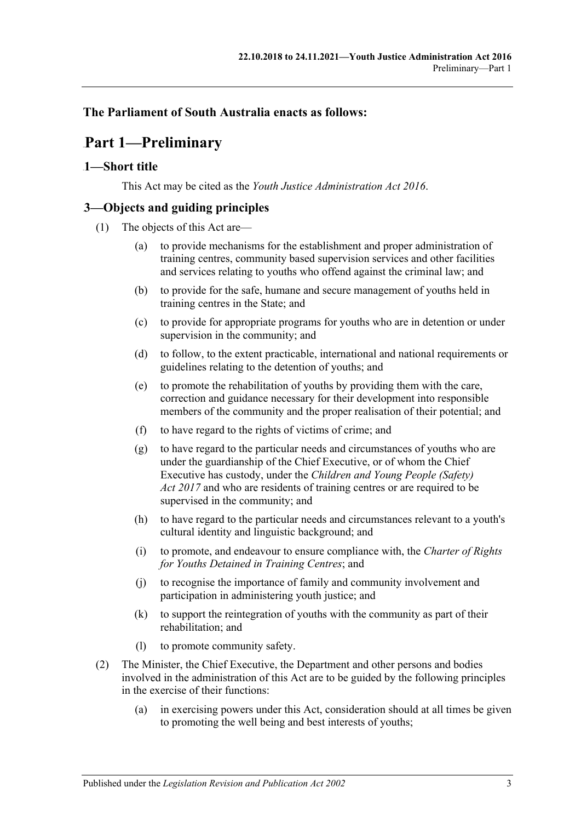### <span id="page-2-0"></span>**The Parliament of South Australia enacts as follows:**

# 64B**Part 1—Preliminary**

#### <span id="page-2-1"></span>0B**1—Short title**

This Act may be cited as the *Youth Justice Administration Act 2016*.

# <span id="page-2-2"></span>1B**3—Objects and guiding principles**

- (1) The objects of this Act are—
	- (a) to provide mechanisms for the establishment and proper administration of training centres, community based supervision services and other facilities and services relating to youths who offend against the criminal law; and
	- (b) to provide for the safe, humane and secure management of youths held in training centres in the State; and
	- (c) to provide for appropriate programs for youths who are in detention or under supervision in the community; and
	- (d) to follow, to the extent practicable, international and national requirements or guidelines relating to the detention of youths; and
	- (e) to promote the rehabilitation of youths by providing them with the care, correction and guidance necessary for their development into responsible members of the community and the proper realisation of their potential; and
	- (f) to have regard to the rights of victims of crime; and
	- (g) to have regard to the particular needs and circumstances of youths who are under the guardianship of the Chief Executive, or of whom the Chief Executive has custody, under the *[Children and Young People \(Safety\)](http://www.legislation.sa.gov.au/index.aspx?action=legref&type=act&legtitle=Children%20and%20Young%20People%20(Safety)%20Act%202017)  Act [2017](http://www.legislation.sa.gov.au/index.aspx?action=legref&type=act&legtitle=Children%20and%20Young%20People%20(Safety)%20Act%202017)* and who are residents of training centres or are required to be supervised in the community; and
	- (h) to have regard to the particular needs and circumstances relevant to a youth's cultural identity and linguistic background; and
	- (i) to promote, and endeavour to ensure compliance with, the *Charter of Rights for Youths Detained in Training Centres*; and
	- (j) to recognise the importance of family and community involvement and participation in administering youth justice; and
	- (k) to support the reintegration of youths with the community as part of their rehabilitation; and
	- (l) to promote community safety.
- <span id="page-2-3"></span>(2) The Minister, the Chief Executive, the Department and other persons and bodies involved in the administration of this Act are to be guided by the following principles in the exercise of their functions:
	- (a) in exercising powers under this Act, consideration should at all times be given to promoting the well being and best interests of youths;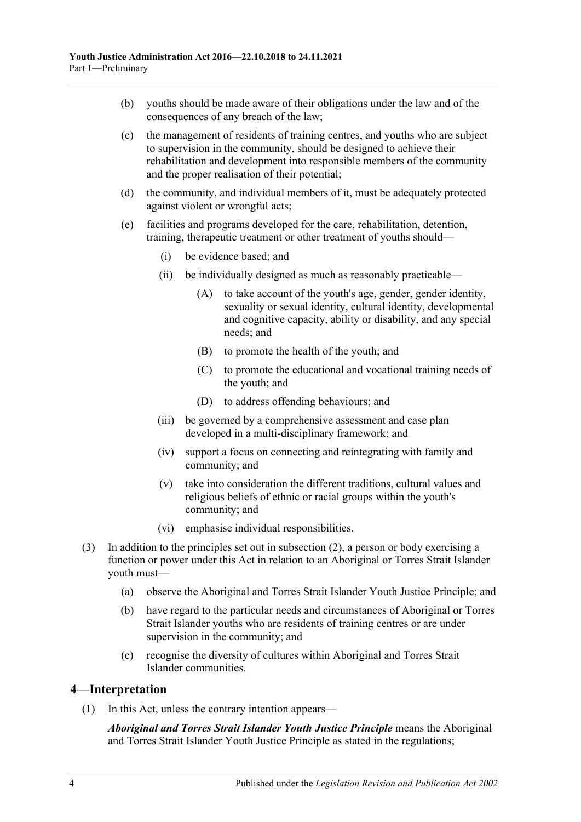- (b) youths should be made aware of their obligations under the law and of the consequences of any breach of the law;
- (c) the management of residents of training centres, and youths who are subject to supervision in the community, should be designed to achieve their rehabilitation and development into responsible members of the community and the proper realisation of their potential;
- (d) the community, and individual members of it, must be adequately protected against violent or wrongful acts;
- (e) facilities and programs developed for the care, rehabilitation, detention, training, therapeutic treatment or other treatment of youths should—
	- (i) be evidence based; and
	- (ii) be individually designed as much as reasonably practicable—
		- (A) to take account of the youth's age, gender, gender identity, sexuality or sexual identity, cultural identity, developmental and cognitive capacity, ability or disability, and any special needs; and
		- (B) to promote the health of the youth; and
		- (C) to promote the educational and vocational training needs of the youth; and
		- (D) to address offending behaviours; and
	- (iii) be governed by a comprehensive assessment and case plan developed in a multi-disciplinary framework; and
	- (iv) support a focus on connecting and reintegrating with family and community; and
	- (v) take into consideration the different traditions, cultural values and religious beliefs of ethnic or racial groups within the youth's community; and
	- (vi) emphasise individual responsibilities.
- (3) In addition to the principles set out in [subsection](#page-2-3) (2), a person or body exercising a function or power under this Act in relation to an Aboriginal or Torres Strait Islander youth must—
	- (a) observe the Aboriginal and Torres Strait Islander Youth Justice Principle; and
	- (b) have regard to the particular needs and circumstances of Aboriginal or Torres Strait Islander youths who are residents of training centres or are under supervision in the community; and
	- (c) recognise the diversity of cultures within Aboriginal and Torres Strait Islander communities.

#### <span id="page-3-0"></span>2B**4—Interpretation**

(1) In this Act, unless the contrary intention appears—

*Aboriginal and Torres Strait Islander Youth Justice Principle* means the Aboriginal and Torres Strait Islander Youth Justice Principle as stated in the regulations;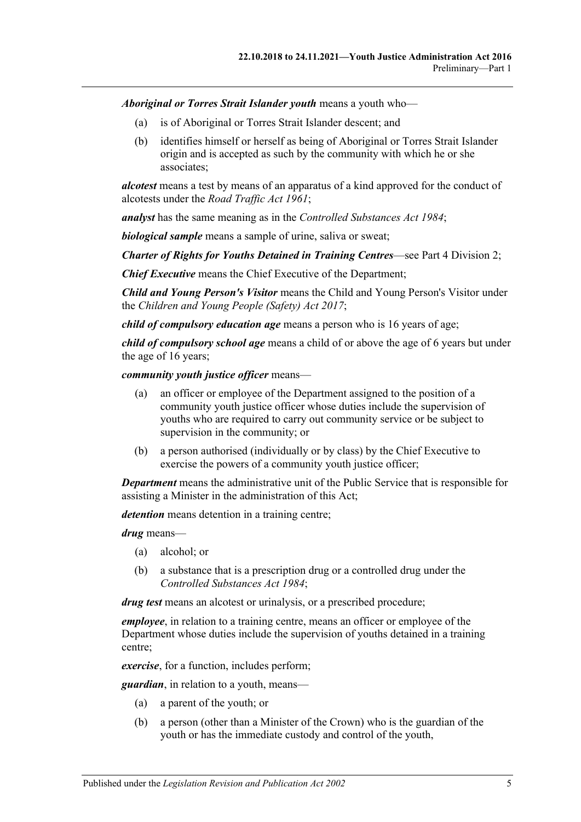*Aboriginal or Torres Strait Islander youth* means a youth who—

- (a) is of Aboriginal or Torres Strait Islander descent; and
- (b) identifies himself or herself as being of Aboriginal or Torres Strait Islander origin and is accepted as such by the community with which he or she associates;

*alcotest* means a test by means of an apparatus of a kind approved for the conduct of alcotests under the *[Road Traffic Act](http://www.legislation.sa.gov.au/index.aspx?action=legref&type=act&legtitle=Road%20Traffic%20Act%201961) 1961*;

*analyst* has the same meaning as in the *[Controlled Substances Act](http://www.legislation.sa.gov.au/index.aspx?action=legref&type=act&legtitle=Controlled%20Substances%20Act%201984) 1984*;

*biological sample* means a sample of urine, saliva or sweat;

*Charter of Rights for Youths Detained in Training Centres*—see Part [4 Division](#page-12-0) 2;

*Chief Executive* means the Chief Executive of the Department;

*Child and Young Person's Visitor* means the Child and Young Person's Visitor under the *[Children and Young People \(Safety\) Act](http://www.legislation.sa.gov.au/index.aspx?action=legref&type=act&legtitle=Children%20and%20Young%20People%20(Safety)%20Act%202017) 2017*;

*child of compulsory education age* means a person who is 16 years of age;

*child of compulsory school age* means a child of or above the age of 6 years but under the age of 16 years;

*community youth justice officer* means—

- (a) an officer or employee of the Department assigned to the position of a community youth justice officer whose duties include the supervision of youths who are required to carry out community service or be subject to supervision in the community; or
- (b) a person authorised (individually or by class) by the Chief Executive to exercise the powers of a community youth justice officer;

*Department* means the administrative unit of the Public Service that is responsible for assisting a Minister in the administration of this Act;

*detention* means detention in a training centre;

*drug* means—

- (a) alcohol; or
- (b) a substance that is a prescription drug or a controlled drug under the *[Controlled Substances Act](http://www.legislation.sa.gov.au/index.aspx?action=legref&type=act&legtitle=Controlled%20Substances%20Act%201984) 1984*;

*drug test* means an alcotest or urinalysis, or a prescribed procedure;

*employee*, in relation to a training centre, means an officer or employee of the Department whose duties include the supervision of youths detained in a training centre;

*exercise*, for a function, includes perform;

*guardian*, in relation to a youth, means—

- (a) a parent of the youth; or
- (b) a person (other than a Minister of the Crown) who is the guardian of the youth or has the immediate custody and control of the youth,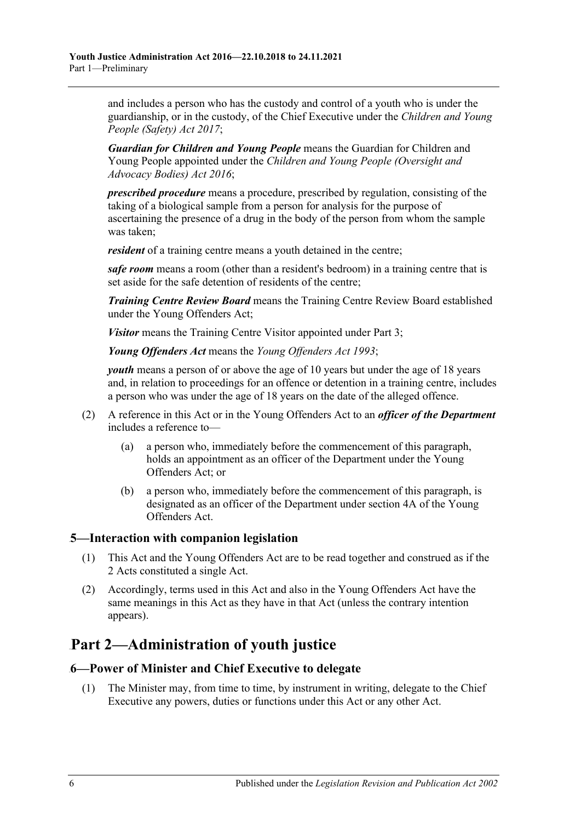and includes a person who has the custody and control of a youth who is under the guardianship, or in the custody, of the Chief Executive under the *[Children and Young](http://www.legislation.sa.gov.au/index.aspx?action=legref&type=act&legtitle=Children%20and%20Young%20People%20(Safety)%20Act%202017)  [People \(Safety\) Act](http://www.legislation.sa.gov.au/index.aspx?action=legref&type=act&legtitle=Children%20and%20Young%20People%20(Safety)%20Act%202017) 2017*;

*Guardian for Children and Young People* means the Guardian for Children and Young People appointed under the *[Children and Young People \(Oversight and](http://www.legislation.sa.gov.au/index.aspx?action=legref&type=act&legtitle=Children%20and%20Young%20People%20(Oversight%20and%20Advocacy%20Bodies)%20Act%202016)  [Advocacy Bodies\) Act](http://www.legislation.sa.gov.au/index.aspx?action=legref&type=act&legtitle=Children%20and%20Young%20People%20(Oversight%20and%20Advocacy%20Bodies)%20Act%202016) 2016*;

*prescribed procedure* means a procedure, prescribed by regulation, consisting of the taking of a biological sample from a person for analysis for the purpose of ascertaining the presence of a drug in the body of the person from whom the sample was taken;

*resident* of a training centre means a youth detained in the centre;

*safe room* means a room (other than a resident's bedroom) in a training centre that is set aside for the safe detention of residents of the centre;

*Training Centre Review Board* means the Training Centre Review Board established under the Young Offenders Act;

*Visitor* means the Training Centre Visitor appointed under [Part](#page-6-3) 3;

*Young Offenders Act* means the *[Young Offenders Act](http://www.legislation.sa.gov.au/index.aspx?action=legref&type=act&legtitle=Young%20Offenders%20Act%201993) 1993*;

*youth* means a person of or above the age of 10 years but under the age of 18 years and, in relation to proceedings for an offence or detention in a training centre, includes a person who was under the age of 18 years on the date of the alleged offence.

- (2) A reference in this Act or in the Young Offenders Act to an *officer of the Department* includes a reference to—
	- (a) a person who, immediately before the commencement of this paragraph, holds an appointment as an officer of the Department under the Young Offenders Act; or
	- (b) a person who, immediately before the commencement of this paragraph, is designated as an officer of the Department under section 4A of the Young Offenders Act.

#### <span id="page-5-0"></span>3B**5—Interaction with companion legislation**

- (1) This Act and the Young Offenders Act are to be read together and construed as if the 2 Acts constituted a single Act.
- (2) Accordingly, terms used in this Act and also in the Young Offenders Act have the same meanings in this Act as they have in that Act (unless the contrary intention appears).

# <span id="page-5-1"></span>65B**Part 2—Administration of youth justice**

#### <span id="page-5-2"></span>4B**6—Power of Minister and Chief Executive to delegate**

(1) The Minister may, from time to time, by instrument in writing, delegate to the Chief Executive any powers, duties or functions under this Act or any other Act.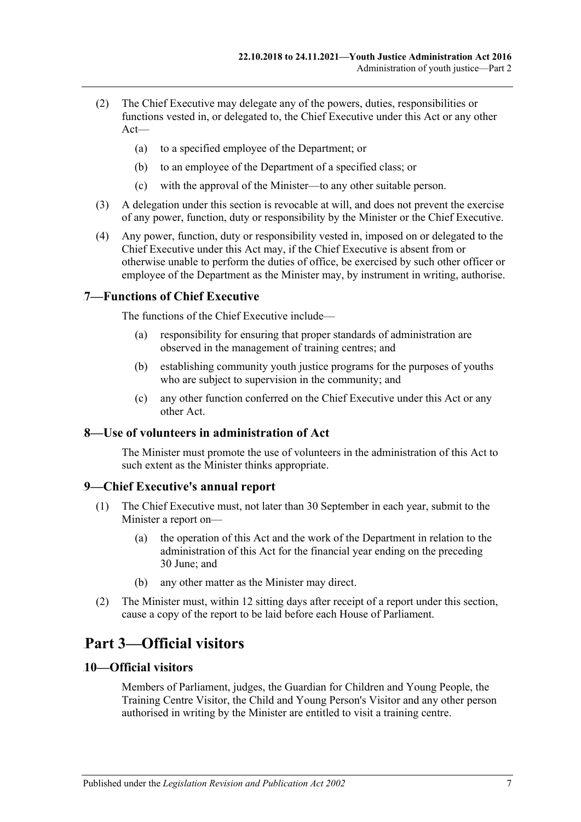- (2) The Chief Executive may delegate any of the powers, duties, responsibilities or functions vested in, or delegated to, the Chief Executive under this Act or any other Act—
	- (a) to a specified employee of the Department; or
	- (b) to an employee of the Department of a specified class; or
	- (c) with the approval of the Minister—to any other suitable person.
- (3) A delegation under this section is revocable at will, and does not prevent the exercise of any power, function, duty or responsibility by the Minister or the Chief Executive.
- (4) Any power, function, duty or responsibility vested in, imposed on or delegated to the Chief Executive under this Act may, if the Chief Executive is absent from or otherwise unable to perform the duties of office, be exercised by such other officer or employee of the Department as the Minister may, by instrument in writing, authorise.

#### <span id="page-6-0"></span>5B**7—Functions of Chief Executive**

The functions of the Chief Executive include—

- (a) responsibility for ensuring that proper standards of administration are observed in the management of training centres; and
- (b) establishing community youth justice programs for the purposes of youths who are subject to supervision in the community; and
- (c) any other function conferred on the Chief Executive under this Act or any other Act.

#### <span id="page-6-1"></span>6B**8—Use of volunteers in administration of Act**

The Minister must promote the use of volunteers in the administration of this Act to such extent as the Minister thinks appropriate.

#### <span id="page-6-2"></span>7B**9—Chief Executive's annual report**

- (1) The Chief Executive must, not later than 30 September in each year, submit to the Minister a report on—
	- (a) the operation of this Act and the work of the Department in relation to the administration of this Act for the financial year ending on the preceding 30 June; and
	- (b) any other matter as the Minister may direct.
- (2) The Minister must, within 12 sitting days after receipt of a report under this section, cause a copy of the report to be laid before each House of Parliament.

# <span id="page-6-3"></span>66B**Part 3—Official visitors**

#### <span id="page-6-4"></span>8B**10—Official visitors**

Members of Parliament, judges, the Guardian for Children and Young People, the Training Centre Visitor, the Child and Young Person's Visitor and any other person authorised in writing by the Minister are entitled to visit a training centre.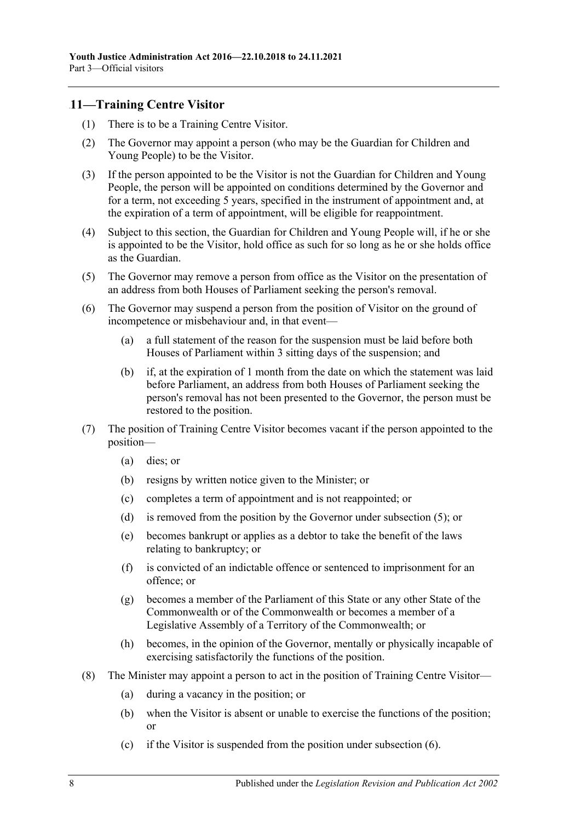### <span id="page-7-0"></span>9B**11—Training Centre Visitor**

- (1) There is to be a Training Centre Visitor.
- (2) The Governor may appoint a person (who may be the Guardian for Children and Young People) to be the Visitor.
- (3) If the person appointed to be the Visitor is not the Guardian for Children and Young People, the person will be appointed on conditions determined by the Governor and for a term, not exceeding 5 years, specified in the instrument of appointment and, at the expiration of a term of appointment, will be eligible for reappointment.
- (4) Subject to this section, the Guardian for Children and Young People will, if he or she is appointed to be the Visitor, hold office as such for so long as he or she holds office as the Guardian.
- <span id="page-7-1"></span>(5) The Governor may remove a person from office as the Visitor on the presentation of an address from both Houses of Parliament seeking the person's removal.
- <span id="page-7-2"></span>(6) The Governor may suspend a person from the position of Visitor on the ground of incompetence or misbehaviour and, in that event—
	- (a) a full statement of the reason for the suspension must be laid before both Houses of Parliament within 3 sitting days of the suspension; and
	- (b) if, at the expiration of 1 month from the date on which the statement was laid before Parliament, an address from both Houses of Parliament seeking the person's removal has not been presented to the Governor, the person must be restored to the position.
- (7) The position of Training Centre Visitor becomes vacant if the person appointed to the position—
	- (a) dies; or
	- (b) resigns by written notice given to the Minister; or
	- (c) completes a term of appointment and is not reappointed; or
	- (d) is removed from the position by the Governor under [subsection](#page-7-1) (5); or
	- (e) becomes bankrupt or applies as a debtor to take the benefit of the laws relating to bankruptcy; or
	- (f) is convicted of an indictable offence or sentenced to imprisonment for an offence; or
	- (g) becomes a member of the Parliament of this State or any other State of the Commonwealth or of the Commonwealth or becomes a member of a Legislative Assembly of a Territory of the Commonwealth; or
	- (h) becomes, in the opinion of the Governor, mentally or physically incapable of exercising satisfactorily the functions of the position.
- (8) The Minister may appoint a person to act in the position of Training Centre Visitor—
	- (a) during a vacancy in the position; or
	- (b) when the Visitor is absent or unable to exercise the functions of the position; or
	- (c) if the Visitor is suspended from the position under [subsection](#page-7-2) (6).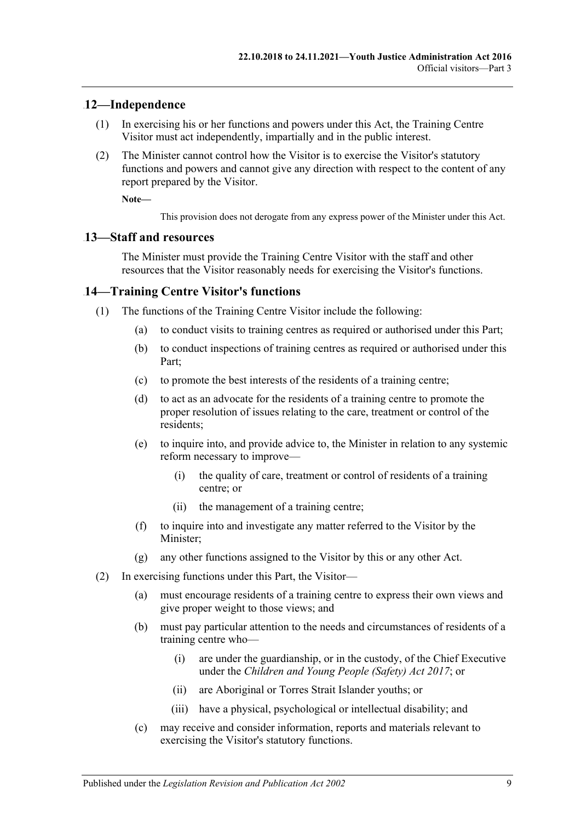#### <span id="page-8-0"></span>10B**12—Independence**

- (1) In exercising his or her functions and powers under this Act, the Training Centre Visitor must act independently, impartially and in the public interest.
- (2) The Minister cannot control how the Visitor is to exercise the Visitor's statutory functions and powers and cannot give any direction with respect to the content of any report prepared by the Visitor.

**Note—**

This provision does not derogate from any express power of the Minister under this Act.

#### <span id="page-8-1"></span>11B**13—Staff and resources**

The Minister must provide the Training Centre Visitor with the staff and other resources that the Visitor reasonably needs for exercising the Visitor's functions.

#### <span id="page-8-2"></span>14—Training Centre Visitor's functions

- (1) The functions of the Training Centre Visitor include the following:
	- (a) to conduct visits to training centres as required or authorised under this Part;
	- (b) to conduct inspections of training centres as required or authorised under this Part;
	- (c) to promote the best interests of the residents of a training centre;
	- (d) to act as an advocate for the residents of a training centre to promote the proper resolution of issues relating to the care, treatment or control of the residents;
	- (e) to inquire into, and provide advice to, the Minister in relation to any systemic reform necessary to improve—
		- (i) the quality of care, treatment or control of residents of a training centre; or
		- (ii) the management of a training centre;
	- (f) to inquire into and investigate any matter referred to the Visitor by the Minister;
	- (g) any other functions assigned to the Visitor by this or any other Act.
- (2) In exercising functions under this Part, the Visitor—
	- (a) must encourage residents of a training centre to express their own views and give proper weight to those views; and
	- (b) must pay particular attention to the needs and circumstances of residents of a training centre who—
		- (i) are under the guardianship, or in the custody, of the Chief Executive under the *[Children and Young People \(Safety\) Act](http://www.legislation.sa.gov.au/index.aspx?action=legref&type=act&legtitle=Children%20and%20Young%20People%20(Safety)%20Act%202017) 2017*; or
		- (ii) are Aboriginal or Torres Strait Islander youths; or
		- (iii) have a physical, psychological or intellectual disability; and
	- (c) may receive and consider information, reports and materials relevant to exercising the Visitor's statutory functions.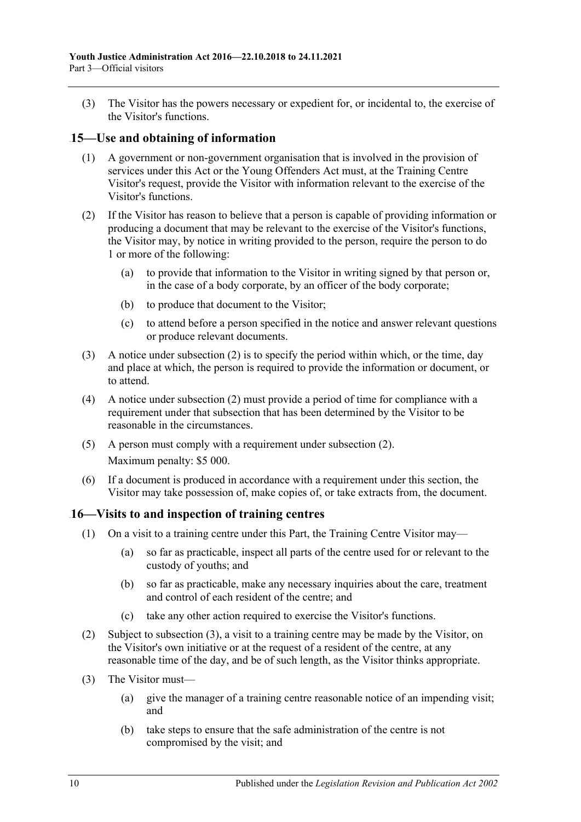(3) The Visitor has the powers necessary or expedient for, or incidental to, the exercise of the Visitor's functions.

#### <span id="page-9-0"></span>13B**15—Use and obtaining of information**

- (1) A government or non-government organisation that is involved in the provision of services under this Act or the Young Offenders Act must, at the Training Centre Visitor's request, provide the Visitor with information relevant to the exercise of the Visitor's functions.
- <span id="page-9-2"></span>(2) If the Visitor has reason to believe that a person is capable of providing information or producing a document that may be relevant to the exercise of the Visitor's functions, the Visitor may, by notice in writing provided to the person, require the person to do 1 or more of the following:
	- (a) to provide that information to the Visitor in writing signed by that person or, in the case of a body corporate, by an officer of the body corporate;
	- (b) to produce that document to the Visitor;
	- (c) to attend before a person specified in the notice and answer relevant questions or produce relevant documents.
- (3) A notice under [subsection](#page-9-2) (2) is to specify the period within which, or the time, day and place at which, the person is required to provide the information or document, or to attend.
- (4) A notice under [subsection](#page-9-2) (2) must provide a period of time for compliance with a requirement under that subsection that has been determined by the Visitor to be reasonable in the circumstances.
- (5) A person must comply with a requirement under [subsection](#page-9-2) (2). Maximum penalty: \$5 000.
- (6) If a document is produced in accordance with a requirement under this section, the Visitor may take possession of, make copies of, or take extracts from, the document.

#### <span id="page-9-1"></span>14B**16—Visits to and inspection of training centres**

- (1) On a visit to a training centre under this Part, the Training Centre Visitor may—
	- (a) so far as practicable, inspect all parts of the centre used for or relevant to the custody of youths; and
	- (b) so far as practicable, make any necessary inquiries about the care, treatment and control of each resident of the centre; and
	- (c) take any other action required to exercise the Visitor's functions.
- (2) Subject to [subsection](#page-9-3) (3), a visit to a training centre may be made by the Visitor, on the Visitor's own initiative or at the request of a resident of the centre, at any reasonable time of the day, and be of such length, as the Visitor thinks appropriate.
- <span id="page-9-4"></span><span id="page-9-3"></span>(3) The Visitor must—
	- (a) give the manager of a training centre reasonable notice of an impending visit; and
	- (b) take steps to ensure that the safe administration of the centre is not compromised by the visit; and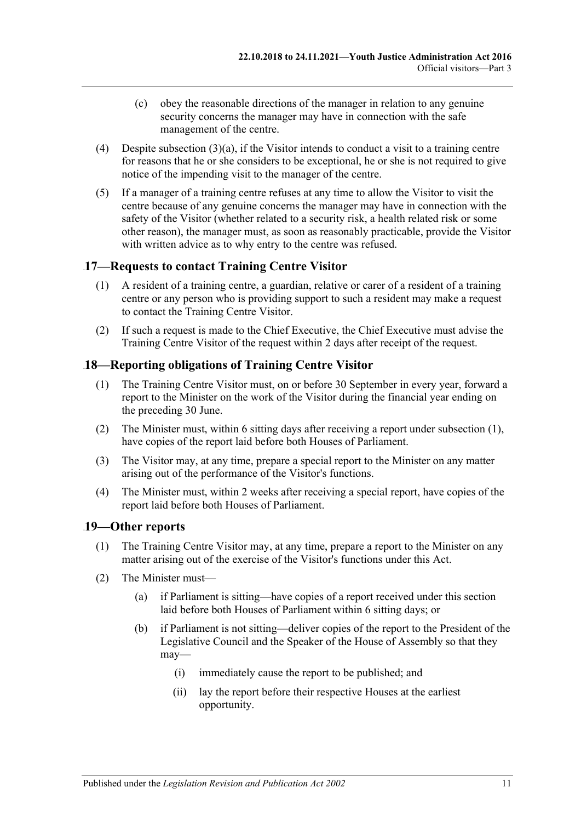- (c) obey the reasonable directions of the manager in relation to any genuine security concerns the manager may have in connection with the safe management of the centre.
- (4) Despite [subsection](#page-9-4) (3)(a), if the Visitor intends to conduct a visit to a training centre for reasons that he or she considers to be exceptional, he or she is not required to give notice of the impending visit to the manager of the centre.
- (5) If a manager of a training centre refuses at any time to allow the Visitor to visit the centre because of any genuine concerns the manager may have in connection with the safety of the Visitor (whether related to a security risk, a health related risk or some other reason), the manager must, as soon as reasonably practicable, provide the Visitor with written advice as to why entry to the centre was refused.

### <span id="page-10-0"></span>15B**17—Requests to contact Training Centre Visitor**

- (1) A resident of a training centre, a guardian, relative or carer of a resident of a training centre or any person who is providing support to such a resident may make a request to contact the Training Centre Visitor.
- (2) If such a request is made to the Chief Executive, the Chief Executive must advise the Training Centre Visitor of the request within 2 days after receipt of the request.

# <span id="page-10-3"></span><span id="page-10-1"></span>18—Reporting obligations of Training Centre Visitor

- (1) The Training Centre Visitor must, on or before 30 September in every year, forward a report to the Minister on the work of the Visitor during the financial year ending on the preceding 30 June.
- (2) The Minister must, within 6 sitting days after receiving a report under [subsection](#page-10-3) (1), have copies of the report laid before both Houses of Parliament.
- (3) The Visitor may, at any time, prepare a special report to the Minister on any matter arising out of the performance of the Visitor's functions.
- (4) The Minister must, within 2 weeks after receiving a special report, have copies of the report laid before both Houses of Parliament.

#### <span id="page-10-2"></span>17B**19—Other reports**

- (1) The Training Centre Visitor may, at any time, prepare a report to the Minister on any matter arising out of the exercise of the Visitor's functions under this Act.
- <span id="page-10-4"></span>(2) The Minister must—
	- (a) if Parliament is sitting—have copies of a report received under this section laid before both Houses of Parliament within 6 sitting days; or
	- (b) if Parliament is not sitting—deliver copies of the report to the President of the Legislative Council and the Speaker of the House of Assembly so that they may—
		- (i) immediately cause the report to be published; and
		- (ii) lay the report before their respective Houses at the earliest opportunity.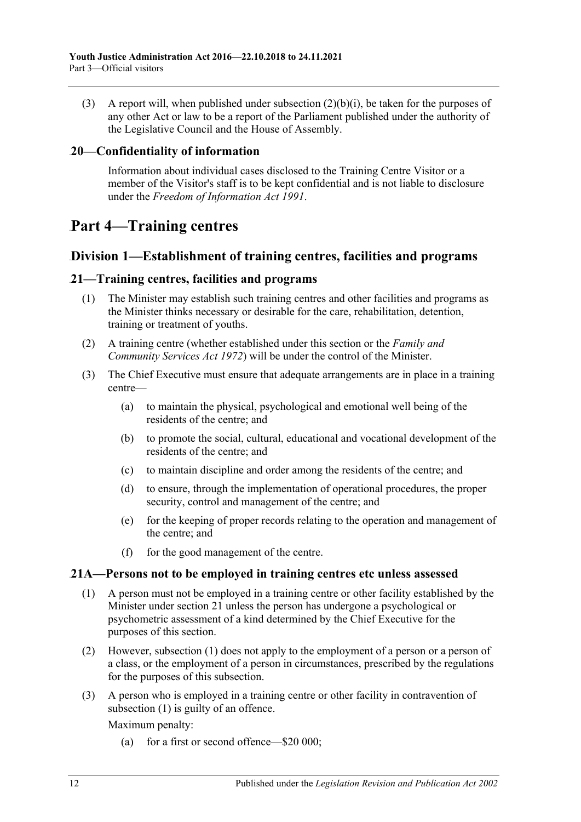(3) A report will, when published under [subsection](#page-10-4)  $(2)(b)(i)$ , be taken for the purposes of any other Act or law to be a report of the Parliament published under the authority of the Legislative Council and the House of Assembly.

#### <span id="page-11-0"></span>18B**20—Confidentiality of information**

Information about individual cases disclosed to the Training Centre Visitor or a member of the Visitor's staff is to be kept confidential and is not liable to disclosure under the *[Freedom of Information Act](http://www.legislation.sa.gov.au/index.aspx?action=legref&type=act&legtitle=Freedom%20of%20Information%20Act%201991) 1991*.

# <span id="page-11-1"></span>67B**Part 4—Training centres**

### <span id="page-11-2"></span>55B**Division 1—Establishment of training centres, facilities and programs**

#### <span id="page-11-3"></span>32B**21—Training centres, facilities and programs**

- (1) The Minister may establish such training centres and other facilities and programs as the Minister thinks necessary or desirable for the care, rehabilitation, detention, training or treatment of youths.
- (2) A training centre (whether established under this section or the *[Family and](http://www.legislation.sa.gov.au/index.aspx?action=legref&type=act&legtitle=Family%20and%20Community%20Services%20Act%201972)  [Community Services Act](http://www.legislation.sa.gov.au/index.aspx?action=legref&type=act&legtitle=Family%20and%20Community%20Services%20Act%201972) 1972*) will be under the control of the Minister.
- (3) The Chief Executive must ensure that adequate arrangements are in place in a training centre—
	- (a) to maintain the physical, psychological and emotional well being of the residents of the centre; and
	- (b) to promote the social, cultural, educational and vocational development of the residents of the centre; and
	- (c) to maintain discipline and order among the residents of the centre; and
	- (d) to ensure, through the implementation of operational procedures, the proper security, control and management of the centre; and
	- (e) for the keeping of proper records relating to the operation and management of the centre; and
	- (f) for the good management of the centre.

#### <span id="page-11-5"></span><span id="page-11-4"></span>33B**21A—Persons not to be employed in training centres etc unless assessed**

- (1) A person must not be employed in a training centre or other facility established by the Minister under [section](#page-11-3) 21 unless the person has undergone a psychological or psychometric assessment of a kind determined by the Chief Executive for the purposes of this section.
- (2) However, [subsection](#page-11-5) (1) does not apply to the employment of a person or a person of a class, or the employment of a person in circumstances, prescribed by the regulations for the purposes of this subsection.
- (3) A person who is employed in a training centre or other facility in contravention of [subsection](#page-11-5) (1) is guilty of an offence.

Maximum penalty:

(a) for a first or second offence—\$20 000;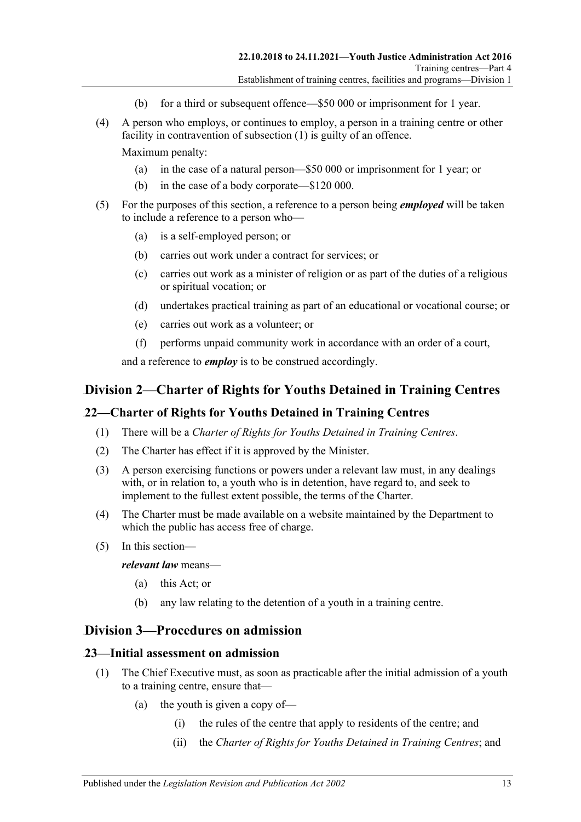- (b) for a third or subsequent offence—\$50 000 or imprisonment for 1 year.
- (4) A person who employs, or continues to employ, a person in a training centre or other facility in contravention of [subsection](#page-11-5) (1) is guilty of an offence.

Maximum penalty:

- (a) in the case of a natural person—\$50 000 or imprisonment for 1 year; or
- (b) in the case of a body corporate—\$120 000.
- (5) For the purposes of this section, a reference to a person being *employed* will be taken to include a reference to a person who—
	- (a) is a self-employed person; or
	- (b) carries out work under a contract for services; or
	- (c) carries out work as a minister of religion or as part of the duties of a religious or spiritual vocation; or
	- (d) undertakes practical training as part of an educational or vocational course; or
	- (e) carries out work as a volunteer; or
	- (f) performs unpaid community work in accordance with an order of a court,

and a reference to *employ* is to be construed accordingly.

# <span id="page-12-0"></span>56B**Division 2—Charter of Rights for Youths Detained in Training Centres**

#### <span id="page-12-1"></span>34B**22—Charter of Rights for Youths Detained in Training Centres**

- (1) There will be a *Charter of Rights for Youths Detained in Training Centres*.
- (2) The Charter has effect if it is approved by the Minister.
- (3) A person exercising functions or powers under a relevant law must, in any dealings with, or in relation to, a youth who is in detention, have regard to, and seek to implement to the fullest extent possible, the terms of the Charter.
- (4) The Charter must be made available on a website maintained by the Department to which the public has access free of charge.
- (5) In this section—

*relevant law* means—

- (a) this Act; or
- (b) any law relating to the detention of a youth in a training centre.

#### <span id="page-12-2"></span>57B**Division 3—Procedures on admission**

#### <span id="page-12-3"></span>35B**23—Initial assessment on admission**

- (1) The Chief Executive must, as soon as practicable after the initial admission of a youth to a training centre, ensure that—
	- (a) the youth is given a copy of—
		- (i) the rules of the centre that apply to residents of the centre; and
		- (ii) the *Charter of Rights for Youths Detained in Training Centres*; and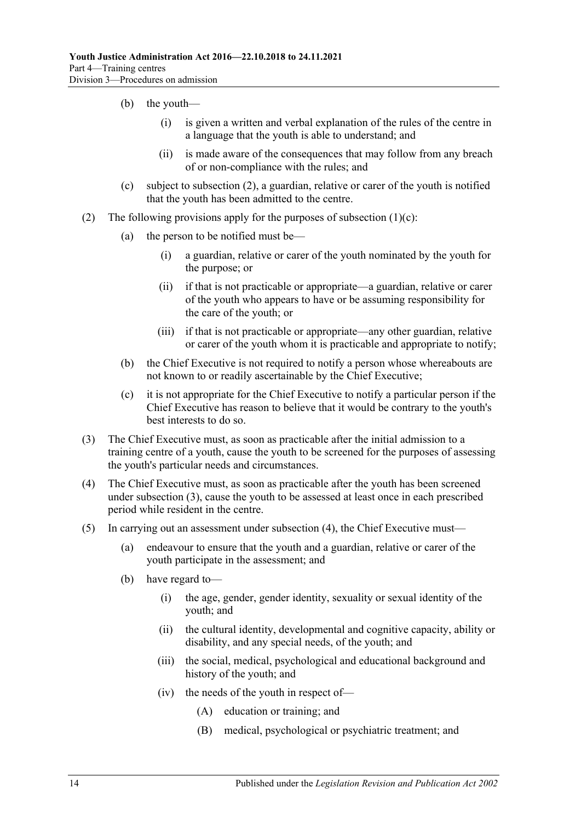- (b) the youth—
	- (i) is given a written and verbal explanation of the rules of the centre in a language that the youth is able to understand; and
	- (ii) is made aware of the consequences that may follow from any breach of or non-compliance with the rules; and
- (c) subject to [subsection](#page-13-0) (2), a guardian, relative or carer of the youth is notified that the youth has been admitted to the centre.
- <span id="page-13-1"></span><span id="page-13-0"></span>(2) The following provisions apply for the purposes of [subsection](#page-13-1)  $(1)(c)$ :
	- (a) the person to be notified must be—
		- (i) a guardian, relative or carer of the youth nominated by the youth for the purpose; or
		- (ii) if that is not practicable or appropriate—a guardian, relative or carer of the youth who appears to have or be assuming responsibility for the care of the youth; or
		- (iii) if that is not practicable or appropriate—any other guardian, relative or carer of the youth whom it is practicable and appropriate to notify;
	- (b) the Chief Executive is not required to notify a person whose whereabouts are not known to or readily ascertainable by the Chief Executive;
	- (c) it is not appropriate for the Chief Executive to notify a particular person if the Chief Executive has reason to believe that it would be contrary to the youth's best interests to do so.
- <span id="page-13-2"></span>(3) The Chief Executive must, as soon as practicable after the initial admission to a training centre of a youth, cause the youth to be screened for the purposes of assessing the youth's particular needs and circumstances.
- <span id="page-13-3"></span>(4) The Chief Executive must, as soon as practicable after the youth has been screened under [subsection](#page-13-2) (3), cause the youth to be assessed at least once in each prescribed period while resident in the centre.
- (5) In carrying out an assessment under [subsection](#page-13-3) (4), the Chief Executive must—
	- (a) endeavour to ensure that the youth and a guardian, relative or carer of the youth participate in the assessment; and
	- (b) have regard to—
		- (i) the age, gender, gender identity, sexuality or sexual identity of the youth; and
		- (ii) the cultural identity, developmental and cognitive capacity, ability or disability, and any special needs, of the youth; and
		- (iii) the social, medical, psychological and educational background and history of the youth; and
		- (iv) the needs of the youth in respect of—
			- (A) education or training; and
			- (B) medical, psychological or psychiatric treatment; and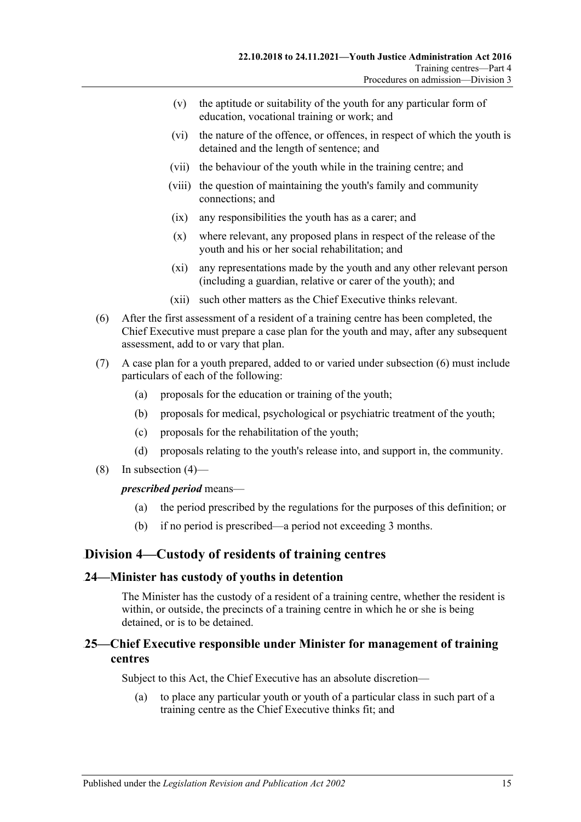- (v) the aptitude or suitability of the youth for any particular form of education, vocational training or work; and
- (vi) the nature of the offence, or offences, in respect of which the youth is detained and the length of sentence; and
- (vii) the behaviour of the youth while in the training centre; and
- (viii) the question of maintaining the youth's family and community connections; and
- (ix) any responsibilities the youth has as a carer; and
- (x) where relevant, any proposed plans in respect of the release of the youth and his or her social rehabilitation; and
- (xi) any representations made by the youth and any other relevant person (including a guardian, relative or carer of the youth); and
- (xii) such other matters as the Chief Executive thinks relevant.
- <span id="page-14-3"></span>(6) After the first assessment of a resident of a training centre has been completed, the Chief Executive must prepare a case plan for the youth and may, after any subsequent assessment, add to or vary that plan.
- (7) A case plan for a youth prepared, added to or varied under [subsection](#page-14-3) (6) must include particulars of each of the following:
	- (a) proposals for the education or training of the youth;
	- (b) proposals for medical, psychological or psychiatric treatment of the youth;
	- (c) proposals for the rehabilitation of the youth;
	- (d) proposals relating to the youth's release into, and support in, the community.
- (8) In [subsection](#page-13-3) (4)—

#### *prescribed period* means—

- (a) the period prescribed by the regulations for the purposes of this definition; or
- (b) if no period is prescribed—a period not exceeding 3 months.

#### <span id="page-14-0"></span>58B**Division 4—Custody of residents of training centres**

#### <span id="page-14-1"></span>36B**24—Minister has custody of youths in detention**

The Minister has the custody of a resident of a training centre, whether the resident is within, or outside, the precincts of a training centre in which he or she is being detained, or is to be detained.

#### <span id="page-14-2"></span>37B**25—Chief Executive responsible under Minister for management of training centres**

Subject to this Act, the Chief Executive has an absolute discretion—

(a) to place any particular youth or youth of a particular class in such part of a training centre as the Chief Executive thinks fit; and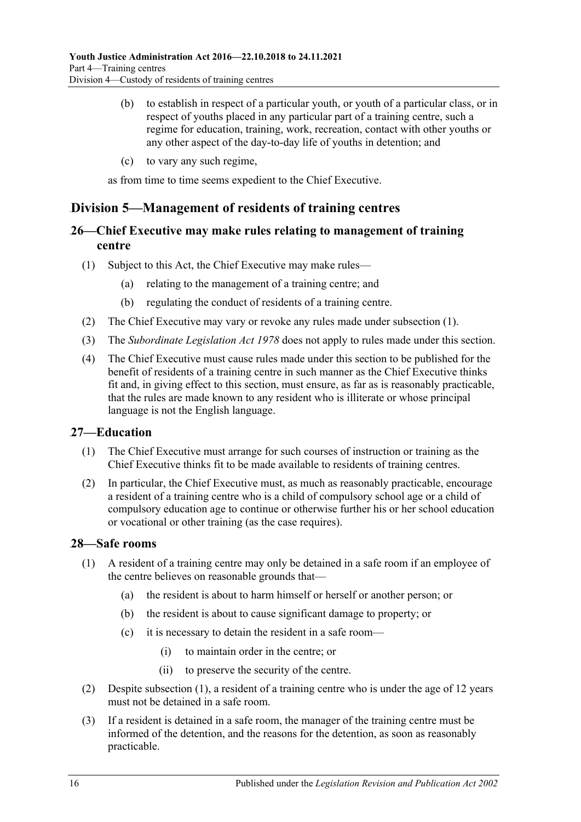- (b) to establish in respect of a particular youth, or youth of a particular class, or in respect of youths placed in any particular part of a training centre, such a regime for education, training, work, recreation, contact with other youths or any other aspect of the day-to-day life of youths in detention; and
- (c) to vary any such regime,

as from time to time seems expedient to the Chief Executive.

# <span id="page-15-0"></span>59B**Division 5—Management of residents of training centres**

# <span id="page-15-1"></span>38B**26—Chief Executive may make rules relating to management of training centre**

- <span id="page-15-4"></span>(1) Subject to this Act, the Chief Executive may make rules—
	- (a) relating to the management of a training centre; and
	- (b) regulating the conduct of residents of a training centre.
- (2) The Chief Executive may vary or revoke any rules made under [subsection](#page-15-4) (1).
- (3) The *[Subordinate Legislation Act](http://www.legislation.sa.gov.au/index.aspx?action=legref&type=act&legtitle=Subordinate%20Legislation%20Act%201978) 1978* does not apply to rules made under this section.
- (4) The Chief Executive must cause rules made under this section to be published for the benefit of residents of a training centre in such manner as the Chief Executive thinks fit and, in giving effect to this section, must ensure, as far as is reasonably practicable, that the rules are made known to any resident who is illiterate or whose principal language is not the English language.

#### <span id="page-15-2"></span>39B**27—Education**

- (1) The Chief Executive must arrange for such courses of instruction or training as the Chief Executive thinks fit to be made available to residents of training centres.
- (2) In particular, the Chief Executive must, as much as reasonably practicable, encourage a resident of a training centre who is a child of compulsory school age or a child of compulsory education age to continue or otherwise further his or her school education or vocational or other training (as the case requires).

#### <span id="page-15-5"></span><span id="page-15-3"></span>40B**28—Safe rooms**

- (1) A resident of a training centre may only be detained in a safe room if an employee of the centre believes on reasonable grounds that—
	- (a) the resident is about to harm himself or herself or another person; or
	- (b) the resident is about to cause significant damage to property; or
	- (c) it is necessary to detain the resident in a safe room—
		- (i) to maintain order in the centre; or
		- (ii) to preserve the security of the centre.
- (2) Despite [subsection](#page-15-5) (1), a resident of a training centre who is under the age of 12 years must not be detained in a safe room.
- (3) If a resident is detained in a safe room, the manager of the training centre must be informed of the detention, and the reasons for the detention, as soon as reasonably practicable.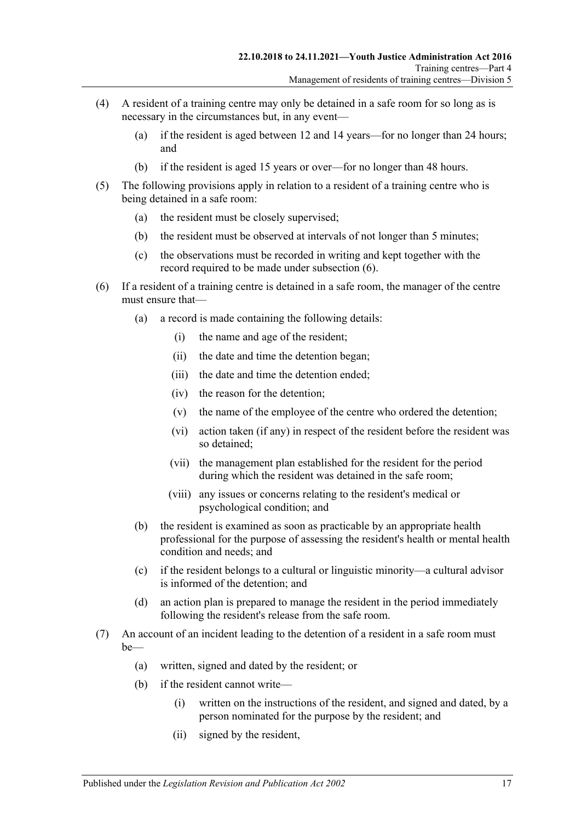- (4) A resident of a training centre may only be detained in a safe room for so long as is necessary in the circumstances but, in any event—
	- (a) if the resident is aged between 12 and 14 years—for no longer than 24 hours; and
	- (b) if the resident is aged 15 years or over—for no longer than 48 hours.
- (5) The following provisions apply in relation to a resident of a training centre who is being detained in a safe room:
	- (a) the resident must be closely supervised;
	- (b) the resident must be observed at intervals of not longer than 5 minutes;
	- (c) the observations must be recorded in writing and kept together with the record required to be made under [subsection](#page-16-0) (6).
- <span id="page-16-0"></span>(6) If a resident of a training centre is detained in a safe room, the manager of the centre must ensure that—
	- (a) a record is made containing the following details:
		- (i) the name and age of the resident;
		- (ii) the date and time the detention began;
		- (iii) the date and time the detention ended;
		- (iv) the reason for the detention;
		- (v) the name of the employee of the centre who ordered the detention;
		- (vi) action taken (if any) in respect of the resident before the resident was so detained;
		- (vii) the management plan established for the resident for the period during which the resident was detained in the safe room;
		- (viii) any issues or concerns relating to the resident's medical or psychological condition; and
	- (b) the resident is examined as soon as practicable by an appropriate health professional for the purpose of assessing the resident's health or mental health condition and needs; and
	- (c) if the resident belongs to a cultural or linguistic minority—a cultural advisor is informed of the detention; and
	- (d) an action plan is prepared to manage the resident in the period immediately following the resident's release from the safe room.
- <span id="page-16-1"></span>(7) An account of an incident leading to the detention of a resident in a safe room must be—
	- (a) written, signed and dated by the resident; or
	- (b) if the resident cannot write—
		- (i) written on the instructions of the resident, and signed and dated, by a person nominated for the purpose by the resident; and
		- (ii) signed by the resident,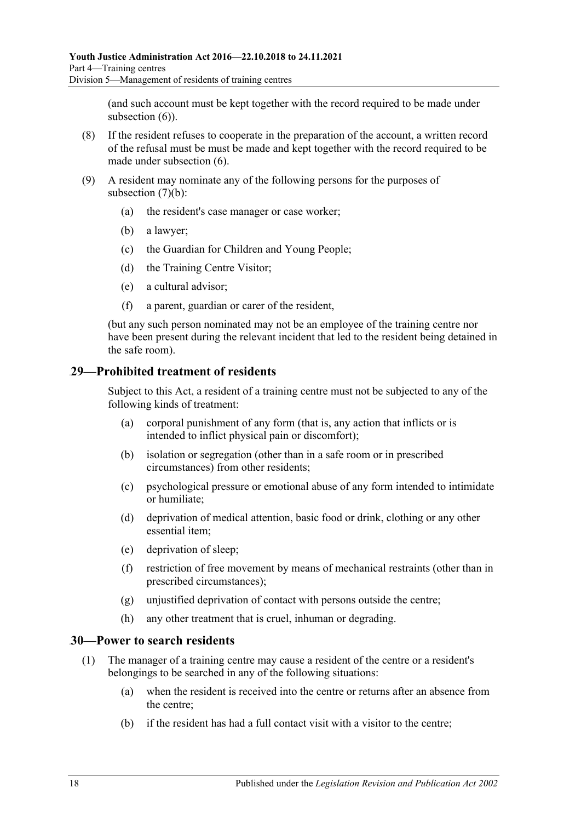(and such account must be kept together with the record required to be made under [subsection](#page-16-0) (6)).

- (8) If the resident refuses to cooperate in the preparation of the account, a written record of the refusal must be must be made and kept together with the record required to be made under [subsection](#page-16-0) (6).
- (9) A resident may nominate any of the following persons for the purposes of [subsection](#page-16-1)  $(7)(b)$ :
	- (a) the resident's case manager or case worker;
	- (b) a lawyer;
	- (c) the Guardian for Children and Young People;
	- (d) the Training Centre Visitor;
	- (e) a cultural advisor;
	- (f) a parent, guardian or carer of the resident,

(but any such person nominated may not be an employee of the training centre nor have been present during the relevant incident that led to the resident being detained in the safe room).

#### <span id="page-17-0"></span>41B**29—Prohibited treatment of residents**

Subject to this Act, a resident of a training centre must not be subjected to any of the following kinds of treatment:

- (a) corporal punishment of any form (that is, any action that inflicts or is intended to inflict physical pain or discomfort);
- (b) isolation or segregation (other than in a safe room or in prescribed circumstances) from other residents;
- (c) psychological pressure or emotional abuse of any form intended to intimidate or humiliate;
- (d) deprivation of medical attention, basic food or drink, clothing or any other essential item;
- (e) deprivation of sleep;
- (f) restriction of free movement by means of mechanical restraints (other than in prescribed circumstances);
- (g) unjustified deprivation of contact with persons outside the centre;
- (h) any other treatment that is cruel, inhuman or degrading.

#### <span id="page-17-1"></span>42B**30—Power to search residents**

- (1) The manager of a training centre may cause a resident of the centre or a resident's belongings to be searched in any of the following situations:
	- (a) when the resident is received into the centre or returns after an absence from the centre;
	- (b) if the resident has had a full contact visit with a visitor to the centre;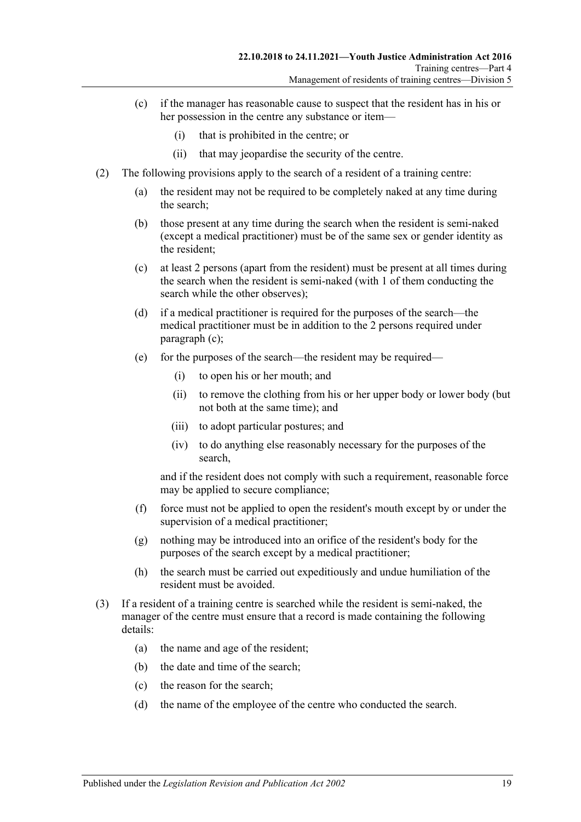- (c) if the manager has reasonable cause to suspect that the resident has in his or her possession in the centre any substance or item—
	- (i) that is prohibited in the centre; or
	- (ii) that may jeopardise the security of the centre.
- <span id="page-18-1"></span><span id="page-18-0"></span>(2) The following provisions apply to the search of a resident of a training centre:
	- (a) the resident may not be required to be completely naked at any time during the search;
	- (b) those present at any time during the search when the resident is semi-naked (except a medical practitioner) must be of the same sex or gender identity as the resident;
	- (c) at least 2 persons (apart from the resident) must be present at all times during the search when the resident is semi-naked (with 1 of them conducting the search while the other observes);
	- (d) if a medical practitioner is required for the purposes of the search—the medical practitioner must be in addition to the 2 persons required under [paragraph](#page-18-0) (c);
	- (e) for the purposes of the search—the resident may be required—
		- (i) to open his or her mouth; and
		- (ii) to remove the clothing from his or her upper body or lower body (but not both at the same time); and
		- (iii) to adopt particular postures; and
		- (iv) to do anything else reasonably necessary for the purposes of the search,

and if the resident does not comply with such a requirement, reasonable force may be applied to secure compliance;

- (f) force must not be applied to open the resident's mouth except by or under the supervision of a medical practitioner;
- (g) nothing may be introduced into an orifice of the resident's body for the purposes of the search except by a medical practitioner;
- (h) the search must be carried out expeditiously and undue humiliation of the resident must be avoided.
- (3) If a resident of a training centre is searched while the resident is semi-naked, the manager of the centre must ensure that a record is made containing the following details:
	- (a) the name and age of the resident;
	- (b) the date and time of the search;
	- (c) the reason for the search;
	- (d) the name of the employee of the centre who conducted the search.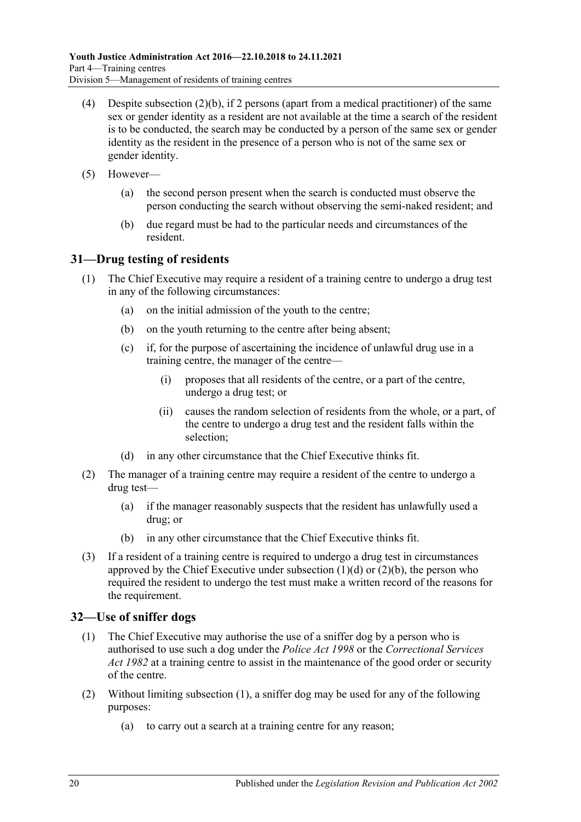- (4) Despite [subsection](#page-18-1)  $(2)(b)$ , if 2 persons (apart from a medical practitioner) of the same sex or gender identity as a resident are not available at the time a search of the resident is to be conducted, the search may be conducted by a person of the same sex or gender identity as the resident in the presence of a person who is not of the same sex or gender identity.
- (5) However—
	- (a) the second person present when the search is conducted must observe the person conducting the search without observing the semi-naked resident; and
	- (b) due regard must be had to the particular needs and circumstances of the resident.

### <span id="page-19-0"></span>43B**31—Drug testing of residents**

- (1) The Chief Executive may require a resident of a training centre to undergo a drug test in any of the following circumstances:
	- (a) on the initial admission of the youth to the centre;
	- (b) on the youth returning to the centre after being absent;
	- (c) if, for the purpose of ascertaining the incidence of unlawful drug use in a training centre, the manager of the centre—
		- (i) proposes that all residents of the centre, or a part of the centre, undergo a drug test; or
		- (ii) causes the random selection of residents from the whole, or a part, of the centre to undergo a drug test and the resident falls within the selection;
	- (d) in any other circumstance that the Chief Executive thinks fit.
- <span id="page-19-2"></span>(2) The manager of a training centre may require a resident of the centre to undergo a drug test—
	- (a) if the manager reasonably suspects that the resident has unlawfully used a drug; or
	- (b) in any other circumstance that the Chief Executive thinks fit.
- <span id="page-19-3"></span>(3) If a resident of a training centre is required to undergo a drug test in circumstances approved by the Chief Executive under [subsection](#page-19-2)  $(1)(d)$  or  $(2)(b)$ , the person who required the resident to undergo the test must make a written record of the reasons for the requirement.

#### <span id="page-19-4"></span><span id="page-19-1"></span>44B**32—Use of sniffer dogs**

- (1) The Chief Executive may authorise the use of a sniffer dog by a person who is authorised to use such a dog under the *[Police Act](http://www.legislation.sa.gov.au/index.aspx?action=legref&type=act&legtitle=Police%20Act%201998) 1998* or the *[Correctional Services](http://www.legislation.sa.gov.au/index.aspx?action=legref&type=act&legtitle=Correctional%20Services%20Act%201982)  Act [1982](http://www.legislation.sa.gov.au/index.aspx?action=legref&type=act&legtitle=Correctional%20Services%20Act%201982)* at a training centre to assist in the maintenance of the good order or security of the centre.
- (2) Without limiting [subsection](#page-19-4) (1), a sniffer dog may be used for any of the following purposes:
	- (a) to carry out a search at a training centre for any reason;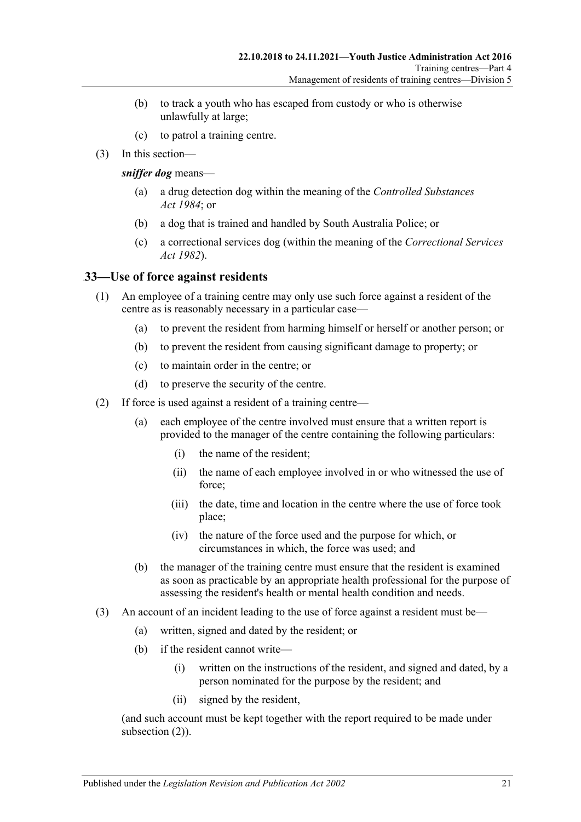- (b) to track a youth who has escaped from custody or who is otherwise unlawfully at large;
- (c) to patrol a training centre.
- (3) In this section—

*sniffer dog* means—

- (a) a drug detection dog within the meaning of the *[Controlled Substances](http://www.legislation.sa.gov.au/index.aspx?action=legref&type=act&legtitle=Controlled%20Substances%20Act%201984)  Act [1984](http://www.legislation.sa.gov.au/index.aspx?action=legref&type=act&legtitle=Controlled%20Substances%20Act%201984)*; or
- (b) a dog that is trained and handled by South Australia Police; or
- (c) a correctional services dog (within the meaning of the *[Correctional Services](http://www.legislation.sa.gov.au/index.aspx?action=legref&type=act&legtitle=Correctional%20Services%20Act%201982)  Act [1982](http://www.legislation.sa.gov.au/index.aspx?action=legref&type=act&legtitle=Correctional%20Services%20Act%201982)*).

#### <span id="page-20-0"></span>45B**33—Use of force against residents**

- (1) An employee of a training centre may only use such force against a resident of the centre as is reasonably necessary in a particular case—
	- (a) to prevent the resident from harming himself or herself or another person; or
	- (b) to prevent the resident from causing significant damage to property; or
	- (c) to maintain order in the centre; or
	- (d) to preserve the security of the centre.
- <span id="page-20-1"></span>(2) If force is used against a resident of a training centre—
	- (a) each employee of the centre involved must ensure that a written report is provided to the manager of the centre containing the following particulars:
		- (i) the name of the resident;
		- (ii) the name of each employee involved in or who witnessed the use of force;
		- (iii) the date, time and location in the centre where the use of force took place;
		- (iv) the nature of the force used and the purpose for which, or circumstances in which, the force was used; and
	- (b) the manager of the training centre must ensure that the resident is examined as soon as practicable by an appropriate health professional for the purpose of assessing the resident's health or mental health condition and needs.
- <span id="page-20-2"></span>(3) An account of an incident leading to the use of force against a resident must be—
	- (a) written, signed and dated by the resident; or
	- (b) if the resident cannot write—
		- (i) written on the instructions of the resident, and signed and dated, by a person nominated for the purpose by the resident; and
		- (ii) signed by the resident,

(and such account must be kept together with the report required to be made under [subsection](#page-20-1)  $(2)$ ).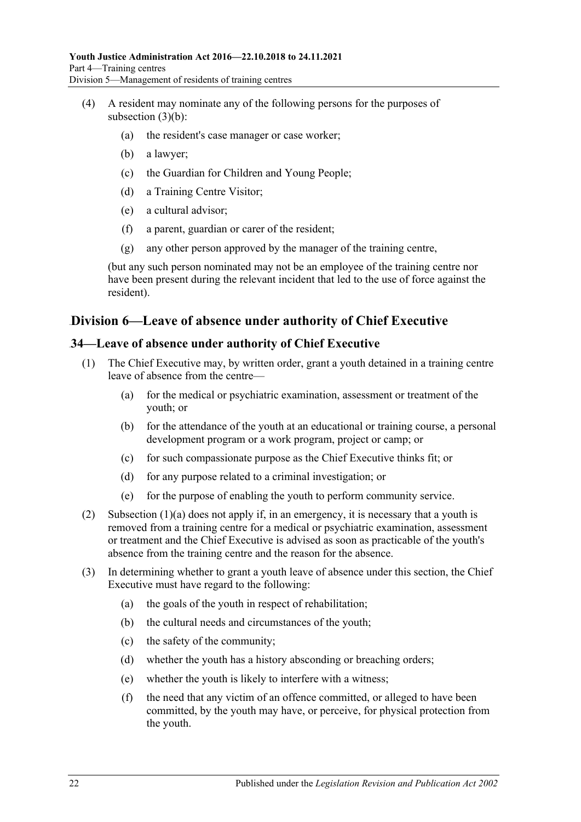- (4) A resident may nominate any of the following persons for the purposes of [subsection](#page-20-2) (3)(b):
	- (a) the resident's case manager or case worker;
	- (b) a lawyer;
	- (c) the Guardian for Children and Young People;
	- (d) a Training Centre Visitor;
	- (e) a cultural advisor;
	- (f) a parent, guardian or carer of the resident;
	- (g) any other person approved by the manager of the training centre,

(but any such person nominated may not be an employee of the training centre nor have been present during the relevant incident that led to the use of force against the resident).

# <span id="page-21-0"></span>60B**Division 6—Leave of absence under authority of Chief Executive**

#### <span id="page-21-1"></span>46B**34—Leave of absence under authority of Chief Executive**

- <span id="page-21-2"></span>(1) The Chief Executive may, by written order, grant a youth detained in a training centre leave of absence from the centre—
	- (a) for the medical or psychiatric examination, assessment or treatment of the youth; or
	- (b) for the attendance of the youth at an educational or training course, a personal development program or a work program, project or camp; or
	- (c) for such compassionate purpose as the Chief Executive thinks fit; or
	- (d) for any purpose related to a criminal investigation; or
	- (e) for the purpose of enabling the youth to perform community service.
- (2) [Subsection \(1\)\(a\)](#page-21-2) does not apply if, in an emergency, it is necessary that a youth is removed from a training centre for a medical or psychiatric examination, assessment or treatment and the Chief Executive is advised as soon as practicable of the youth's absence from the training centre and the reason for the absence.
- (3) In determining whether to grant a youth leave of absence under this section, the Chief Executive must have regard to the following:
	- (a) the goals of the youth in respect of rehabilitation;
	- (b) the cultural needs and circumstances of the youth;
	- (c) the safety of the community;
	- (d) whether the youth has a history absconding or breaching orders;
	- (e) whether the youth is likely to interfere with a witness;
	- (f) the need that any victim of an offence committed, or alleged to have been committed, by the youth may have, or perceive, for physical protection from the youth.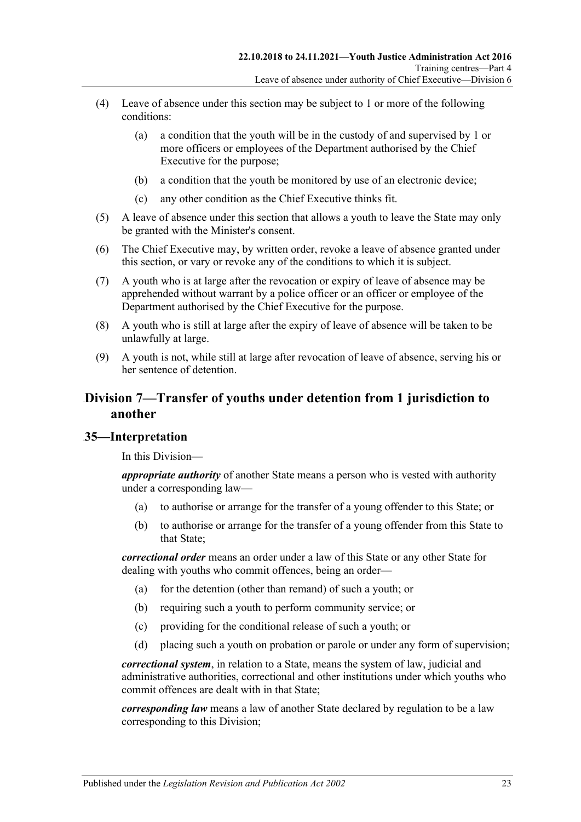- (4) Leave of absence under this section may be subject to 1 or more of the following conditions:
	- (a) a condition that the youth will be in the custody of and supervised by 1 or more officers or employees of the Department authorised by the Chief Executive for the purpose;
	- (b) a condition that the youth be monitored by use of an electronic device;
	- (c) any other condition as the Chief Executive thinks fit.
- (5) A leave of absence under this section that allows a youth to leave the State may only be granted with the Minister's consent.
- (6) The Chief Executive may, by written order, revoke a leave of absence granted under this section, or vary or revoke any of the conditions to which it is subject.
- (7) A youth who is at large after the revocation or expiry of leave of absence may be apprehended without warrant by a police officer or an officer or employee of the Department authorised by the Chief Executive for the purpose.
- (8) A youth who is still at large after the expiry of leave of absence will be taken to be unlawfully at large.
- (9) A youth is not, while still at large after revocation of leave of absence, serving his or her sentence of detention.

# <span id="page-22-0"></span>61B**Division 7—Transfer of youths under detention from 1 jurisdiction to another**

# <span id="page-22-1"></span>47B**35—Interpretation**

In this Division—

*appropriate authority* of another State means a person who is vested with authority under a corresponding law—

- (a) to authorise or arrange for the transfer of a young offender to this State; or
- (b) to authorise or arrange for the transfer of a young offender from this State to that State;

*correctional order* means an order under a law of this State or any other State for dealing with youths who commit offences, being an order—

- (a) for the detention (other than remand) of such a youth; or
- (b) requiring such a youth to perform community service; or
- (c) providing for the conditional release of such a youth; or
- (d) placing such a youth on probation or parole or under any form of supervision;

*correctional system*, in relation to a State, means the system of law, judicial and administrative authorities, correctional and other institutions under which youths who commit offences are dealt with in that State;

*corresponding law* means a law of another State declared by regulation to be a law corresponding to this Division;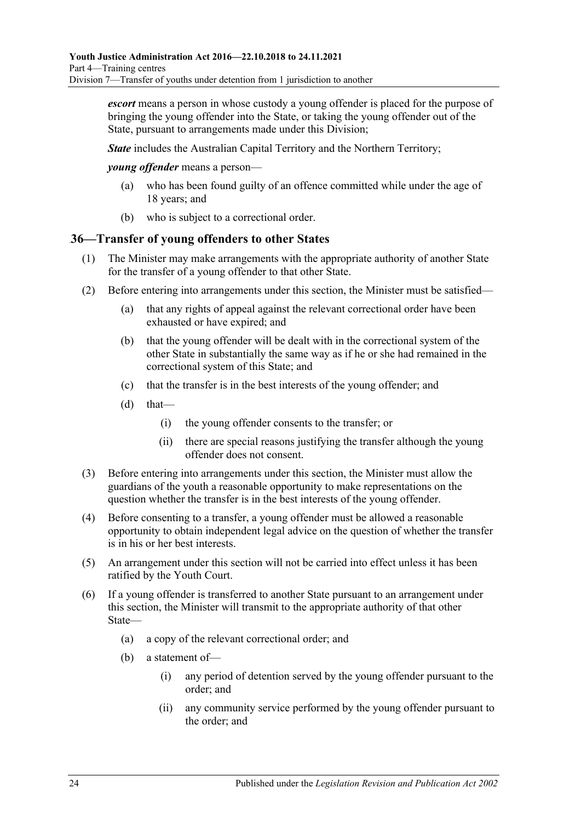*escort* means a person in whose custody a young offender is placed for the purpose of bringing the young offender into the State, or taking the young offender out of the State, pursuant to arrangements made under this Division;

*State* includes the Australian Capital Territory and the Northern Territory;

*young offender* means a person—

- (a) who has been found guilty of an offence committed while under the age of 18 years; and
- (b) who is subject to a correctional order.

#### <span id="page-23-0"></span>48B**36—Transfer of young offenders to other States**

- (1) The Minister may make arrangements with the appropriate authority of another State for the transfer of a young offender to that other State.
- (2) Before entering into arrangements under this section, the Minister must be satisfied—
	- (a) that any rights of appeal against the relevant correctional order have been exhausted or have expired; and
	- (b) that the young offender will be dealt with in the correctional system of the other State in substantially the same way as if he or she had remained in the correctional system of this State; and
	- (c) that the transfer is in the best interests of the young offender; and
	- $(d)$  that—
		- (i) the young offender consents to the transfer; or
		- (ii) there are special reasons justifying the transfer although the young offender does not consent.
- (3) Before entering into arrangements under this section, the Minister must allow the guardians of the youth a reasonable opportunity to make representations on the question whether the transfer is in the best interests of the young offender.
- (4) Before consenting to a transfer, a young offender must be allowed a reasonable opportunity to obtain independent legal advice on the question of whether the transfer is in his or her best interests.
- (5) An arrangement under this section will not be carried into effect unless it has been ratified by the Youth Court.
- (6) If a young offender is transferred to another State pursuant to an arrangement under this section, the Minister will transmit to the appropriate authority of that other State—
	- (a) a copy of the relevant correctional order; and
	- (b) a statement of—
		- (i) any period of detention served by the young offender pursuant to the order; and
		- (ii) any community service performed by the young offender pursuant to the order; and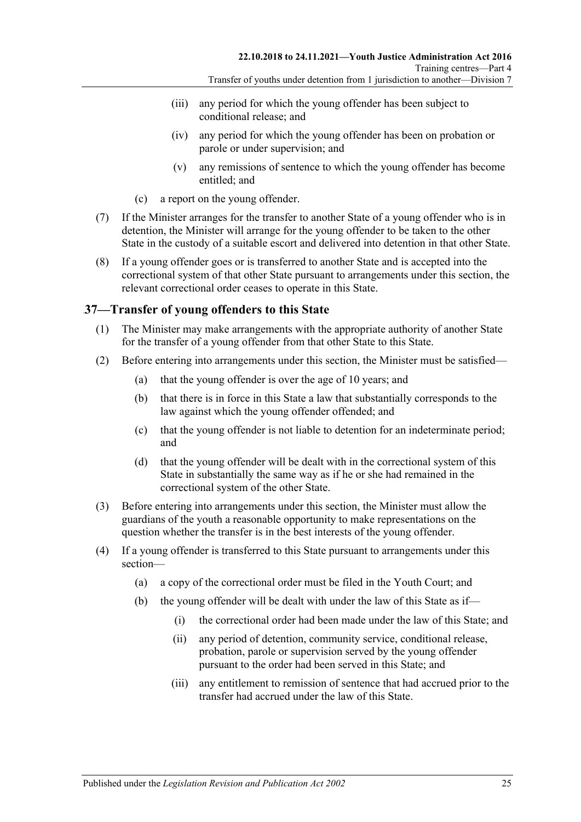- (iii) any period for which the young offender has been subject to conditional release; and
- (iv) any period for which the young offender has been on probation or parole or under supervision; and
- (v) any remissions of sentence to which the young offender has become entitled; and
- (c) a report on the young offender.
- (7) If the Minister arranges for the transfer to another State of a young offender who is in detention, the Minister will arrange for the young offender to be taken to the other State in the custody of a suitable escort and delivered into detention in that other State.
- (8) If a young offender goes or is transferred to another State and is accepted into the correctional system of that other State pursuant to arrangements under this section, the relevant correctional order ceases to operate in this State.

### <span id="page-24-0"></span>49B**37—Transfer of young offenders to this State**

- (1) The Minister may make arrangements with the appropriate authority of another State for the transfer of a young offender from that other State to this State.
- (2) Before entering into arrangements under this section, the Minister must be satisfied—
	- (a) that the young offender is over the age of 10 years; and
	- (b) that there is in force in this State a law that substantially corresponds to the law against which the young offender offended; and
	- (c) that the young offender is not liable to detention for an indeterminate period; and
	- (d) that the young offender will be dealt with in the correctional system of this State in substantially the same way as if he or she had remained in the correctional system of the other State.
- (3) Before entering into arrangements under this section, the Minister must allow the guardians of the youth a reasonable opportunity to make representations on the question whether the transfer is in the best interests of the young offender.
- (4) If a young offender is transferred to this State pursuant to arrangements under this section—
	- (a) a copy of the correctional order must be filed in the Youth Court; and
	- (b) the young offender will be dealt with under the law of this State as if—
		- (i) the correctional order had been made under the law of this State; and
		- (ii) any period of detention, community service, conditional release, probation, parole or supervision served by the young offender pursuant to the order had been served in this State; and
		- (iii) any entitlement to remission of sentence that had accrued prior to the transfer had accrued under the law of this State.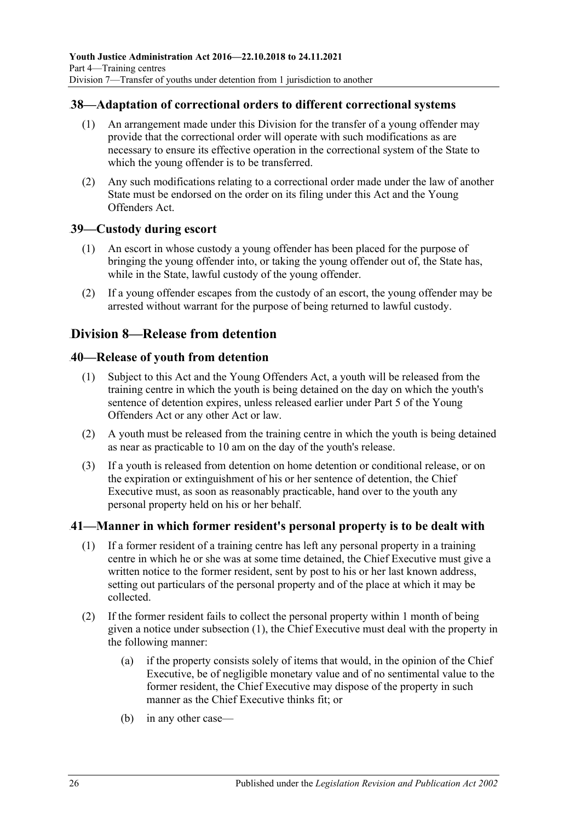#### <span id="page-25-0"></span>50B**38—Adaptation of correctional orders to different correctional systems**

- (1) An arrangement made under this Division for the transfer of a young offender may provide that the correctional order will operate with such modifications as are necessary to ensure its effective operation in the correctional system of the State to which the young offender is to be transferred.
- (2) Any such modifications relating to a correctional order made under the law of another State must be endorsed on the order on its filing under this Act and the Young Offenders Act.

#### <span id="page-25-1"></span>51B**39—Custody during escort**

- (1) An escort in whose custody a young offender has been placed for the purpose of bringing the young offender into, or taking the young offender out of, the State has, while in the State, lawful custody of the young offender.
- (2) If a young offender escapes from the custody of an escort, the young offender may be arrested without warrant for the purpose of being returned to lawful custody.

# <span id="page-25-2"></span>62B**Division 8—Release from detention**

#### <span id="page-25-3"></span>52B**40—Release of youth from detention**

- (1) Subject to this Act and the Young Offenders Act, a youth will be released from the training centre in which the youth is being detained on the day on which the youth's sentence of detention expires, unless released earlier under Part 5 of the Young Offenders Act or any other Act or law.
- (2) A youth must be released from the training centre in which the youth is being detained as near as practicable to 10 am on the day of the youth's release.
- (3) If a youth is released from detention on home detention or conditional release, or on the expiration or extinguishment of his or her sentence of detention, the Chief Executive must, as soon as reasonably practicable, hand over to the youth any personal property held on his or her behalf.

#### <span id="page-25-5"></span><span id="page-25-4"></span>53B**41—Manner in which former resident's personal property is to be dealt with**

- (1) If a former resident of a training centre has left any personal property in a training centre in which he or she was at some time detained, the Chief Executive must give a written notice to the former resident, sent by post to his or her last known address, setting out particulars of the personal property and of the place at which it may be collected.
- (2) If the former resident fails to collect the personal property within 1 month of being given a notice under [subsection](#page-25-5) (1), the Chief Executive must deal with the property in the following manner:
	- (a) if the property consists solely of items that would, in the opinion of the Chief Executive, be of negligible monetary value and of no sentimental value to the former resident, the Chief Executive may dispose of the property in such manner as the Chief Executive thinks fit; or
	- (b) in any other case—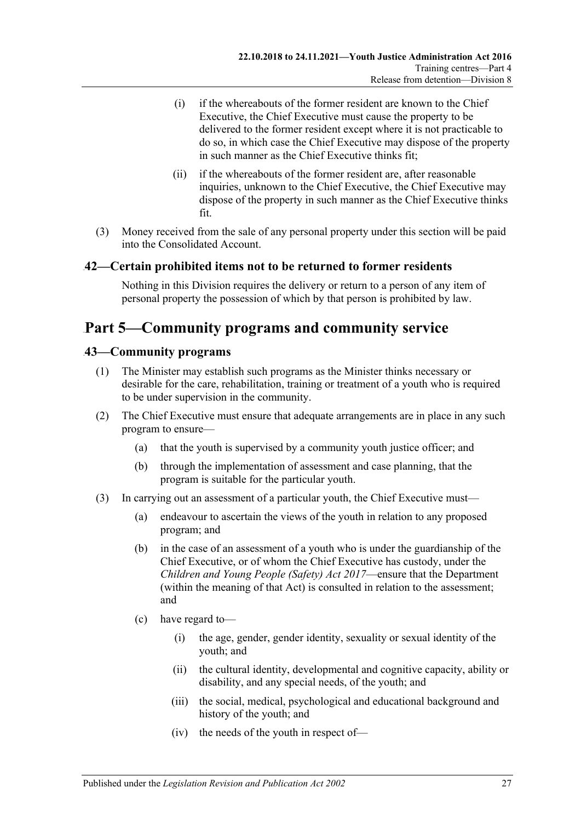- (i) if the whereabouts of the former resident are known to the Chief Executive, the Chief Executive must cause the property to be delivered to the former resident except where it is not practicable to do so, in which case the Chief Executive may dispose of the property in such manner as the Chief Executive thinks fit;
- (ii) if the whereabouts of the former resident are, after reasonable inquiries, unknown to the Chief Executive, the Chief Executive may dispose of the property in such manner as the Chief Executive thinks fit.
- (3) Money received from the sale of any personal property under this section will be paid into the Consolidated Account.

### <span id="page-26-0"></span>54B**42—Certain prohibited items not to be returned to former residents**

Nothing in this Division requires the delivery or return to a person of any item of personal property the possession of which by that person is prohibited by law.

# <span id="page-26-1"></span>68B**Part 5—Community programs and community service**

#### <span id="page-26-2"></span>19B**43—Community programs**

- (1) The Minister may establish such programs as the Minister thinks necessary or desirable for the care, rehabilitation, training or treatment of a youth who is required to be under supervision in the community.
- (2) The Chief Executive must ensure that adequate arrangements are in place in any such program to ensure—
	- (a) that the youth is supervised by a community youth justice officer; and
	- (b) through the implementation of assessment and case planning, that the program is suitable for the particular youth.
- (3) In carrying out an assessment of a particular youth, the Chief Executive must—
	- (a) endeavour to ascertain the views of the youth in relation to any proposed program; and
	- (b) in the case of an assessment of a youth who is under the guardianship of the Chief Executive, or of whom the Chief Executive has custody, under the *[Children and Young People \(Safety\) Act](http://www.legislation.sa.gov.au/index.aspx?action=legref&type=act&legtitle=Children%20and%20Young%20People%20(Safety)%20Act%202017) 2017*—ensure that the Department (within the meaning of that Act) is consulted in relation to the assessment; and
	- (c) have regard to—
		- (i) the age, gender, gender identity, sexuality or sexual identity of the youth; and
		- (ii) the cultural identity, developmental and cognitive capacity, ability or disability, and any special needs, of the youth; and
		- (iii) the social, medical, psychological and educational background and history of the youth; and
		- (iv) the needs of the youth in respect of—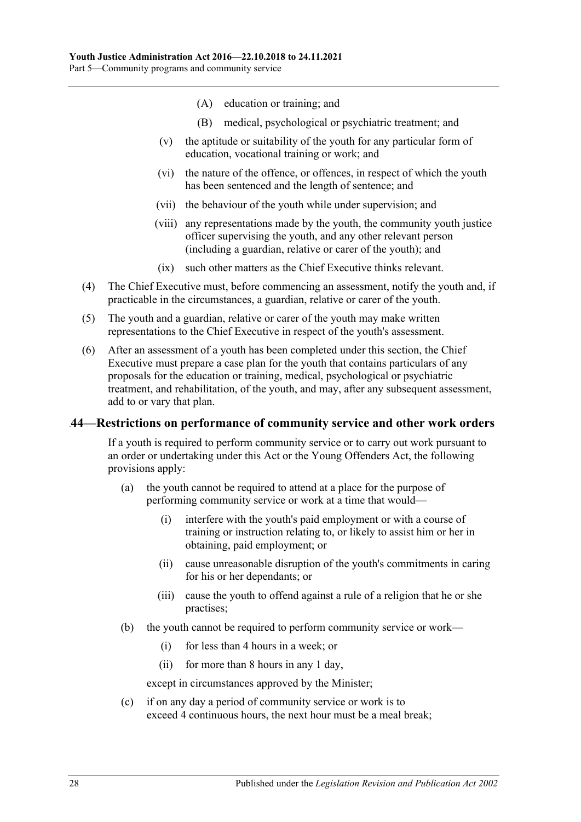- (A) education or training; and
- (B) medical, psychological or psychiatric treatment; and
- (v) the aptitude or suitability of the youth for any particular form of education, vocational training or work; and
- (vi) the nature of the offence, or offences, in respect of which the youth has been sentenced and the length of sentence; and
- (vii) the behaviour of the youth while under supervision; and
- (viii) any representations made by the youth, the community youth justice officer supervising the youth, and any other relevant person (including a guardian, relative or carer of the youth); and
- (ix) such other matters as the Chief Executive thinks relevant.
- (4) The Chief Executive must, before commencing an assessment, notify the youth and, if practicable in the circumstances, a guardian, relative or carer of the youth.
- (5) The youth and a guardian, relative or carer of the youth may make written representations to the Chief Executive in respect of the youth's assessment.
- (6) After an assessment of a youth has been completed under this section, the Chief Executive must prepare a case plan for the youth that contains particulars of any proposals for the education or training, medical, psychological or psychiatric treatment, and rehabilitation, of the youth, and may, after any subsequent assessment, add to or vary that plan.

#### <span id="page-27-0"></span>20B**44—Restrictions on performance of community service and other work orders**

If a youth is required to perform community service or to carry out work pursuant to an order or undertaking under this Act or the Young Offenders Act, the following provisions apply:

- (a) the youth cannot be required to attend at a place for the purpose of performing community service or work at a time that would—
	- (i) interfere with the youth's paid employment or with a course of training or instruction relating to, or likely to assist him or her in obtaining, paid employment; or
	- (ii) cause unreasonable disruption of the youth's commitments in caring for his or her dependants; or
	- (iii) cause the youth to offend against a rule of a religion that he or she practises;
- (b) the youth cannot be required to perform community service or work—
	- (i) for less than 4 hours in a week; or
	- (ii) for more than 8 hours in any 1 day,

except in circumstances approved by the Minister;

(c) if on any day a period of community service or work is to exceed 4 continuous hours, the next hour must be a meal break;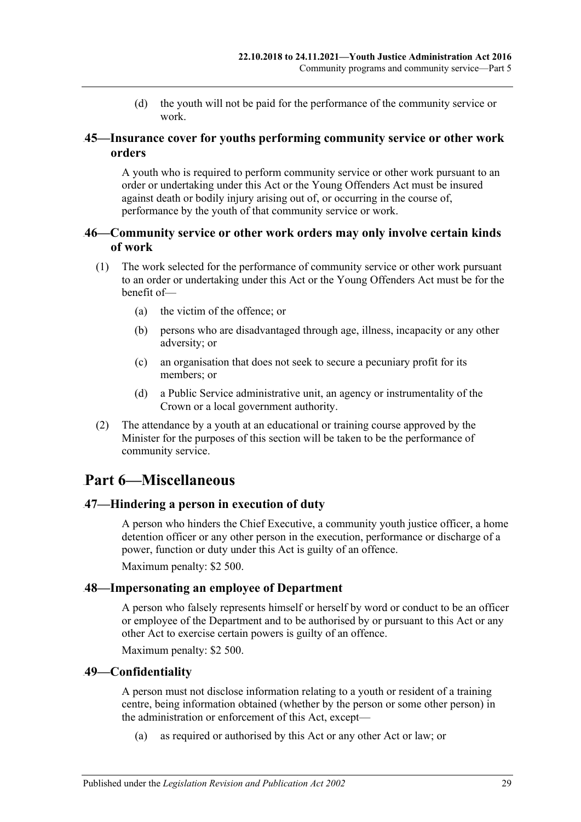(d) the youth will not be paid for the performance of the community service or work.

### <span id="page-28-0"></span>21B**45—Insurance cover for youths performing community service or other work orders**

A youth who is required to perform community service or other work pursuant to an order or undertaking under this Act or the Young Offenders Act must be insured against death or bodily injury arising out of, or occurring in the course of, performance by the youth of that community service or work.

### <span id="page-28-1"></span>22B**46—Community service or other work orders may only involve certain kinds of work**

- (1) The work selected for the performance of community service or other work pursuant to an order or undertaking under this Act or the Young Offenders Act must be for the benefit of—
	- (a) the victim of the offence; or
	- (b) persons who are disadvantaged through age, illness, incapacity or any other adversity; or
	- (c) an organisation that does not seek to secure a pecuniary profit for its members; or
	- (d) a Public Service administrative unit, an agency or instrumentality of the Crown or a local government authority.
- (2) The attendance by a youth at an educational or training course approved by the Minister for the purposes of this section will be taken to be the performance of community service.

# <span id="page-28-2"></span>69B**Part 6—Miscellaneous**

# <span id="page-28-3"></span>23B**47—Hindering a person in execution of duty**

A person who hinders the Chief Executive, a community youth justice officer, a home detention officer or any other person in the execution, performance or discharge of a power, function or duty under this Act is guilty of an offence.

Maximum penalty: \$2 500.

# <span id="page-28-4"></span>24B**48—Impersonating an employee of Department**

A person who falsely represents himself or herself by word or conduct to be an officer or employee of the Department and to be authorised by or pursuant to this Act or any other Act to exercise certain powers is guilty of an offence.

Maximum penalty: \$2 500.

# <span id="page-28-5"></span>25B**49—Confidentiality**

A person must not disclose information relating to a youth or resident of a training centre, being information obtained (whether by the person or some other person) in the administration or enforcement of this Act, except—

(a) as required or authorised by this Act or any other Act or law; or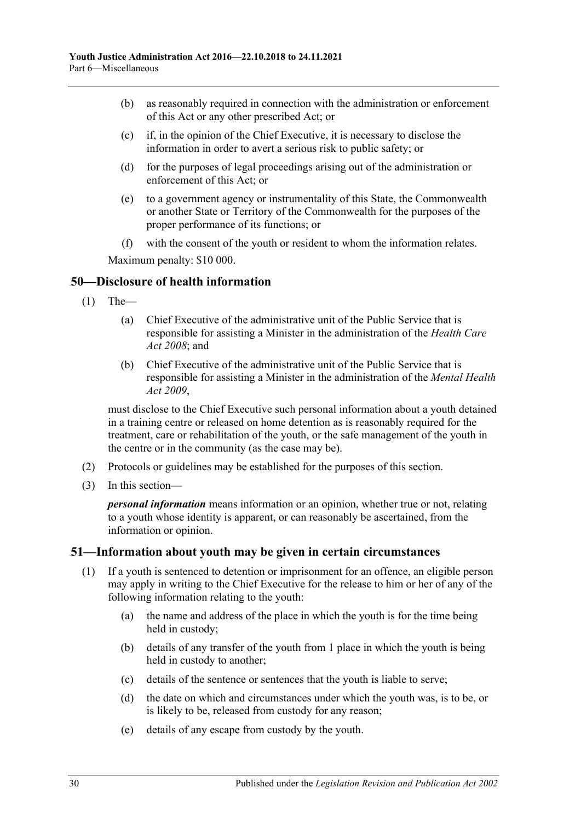- (b) as reasonably required in connection with the administration or enforcement of this Act or any other prescribed Act; or
- (c) if, in the opinion of the Chief Executive, it is necessary to disclose the information in order to avert a serious risk to public safety; or
- (d) for the purposes of legal proceedings arising out of the administration or enforcement of this Act; or
- (e) to a government agency or instrumentality of this State, the Commonwealth or another State or Territory of the Commonwealth for the purposes of the proper performance of its functions; or
- (f) with the consent of the youth or resident to whom the information relates.

Maximum penalty: \$10 000.

### <span id="page-29-0"></span>26B**50—Disclosure of health information**

- $(1)$  The—
	- (a) Chief Executive of the administrative unit of the Public Service that is responsible for assisting a Minister in the administration of the *[Health Care](http://www.legislation.sa.gov.au/index.aspx?action=legref&type=act&legtitle=Health%20Care%20Act%202008)  Act [2008](http://www.legislation.sa.gov.au/index.aspx?action=legref&type=act&legtitle=Health%20Care%20Act%202008)*; and
	- (b) Chief Executive of the administrative unit of the Public Service that is responsible for assisting a Minister in the administration of the *[Mental Health](http://www.legislation.sa.gov.au/index.aspx?action=legref&type=act&legtitle=Mental%20Health%20Act%202009)  Act [2009](http://www.legislation.sa.gov.au/index.aspx?action=legref&type=act&legtitle=Mental%20Health%20Act%202009)*,

must disclose to the Chief Executive such personal information about a youth detained in a training centre or released on home detention as is reasonably required for the treatment, care or rehabilitation of the youth, or the safe management of the youth in the centre or in the community (as the case may be).

- (2) Protocols or guidelines may be established for the purposes of this section.
- (3) In this section—

*personal information* means information or an opinion, whether true or not, relating to a youth whose identity is apparent, or can reasonably be ascertained, from the information or opinion.

#### <span id="page-29-1"></span>27B**51—Information about youth may be given in certain circumstances**

- (1) If a youth is sentenced to detention or imprisonment for an offence, an eligible person may apply in writing to the Chief Executive for the release to him or her of any of the following information relating to the youth:
	- (a) the name and address of the place in which the youth is for the time being held in custody;
	- (b) details of any transfer of the youth from 1 place in which the youth is being held in custody to another;
	- (c) details of the sentence or sentences that the youth is liable to serve;
	- (d) the date on which and circumstances under which the youth was, is to be, or is likely to be, released from custody for any reason;
	- (e) details of any escape from custody by the youth.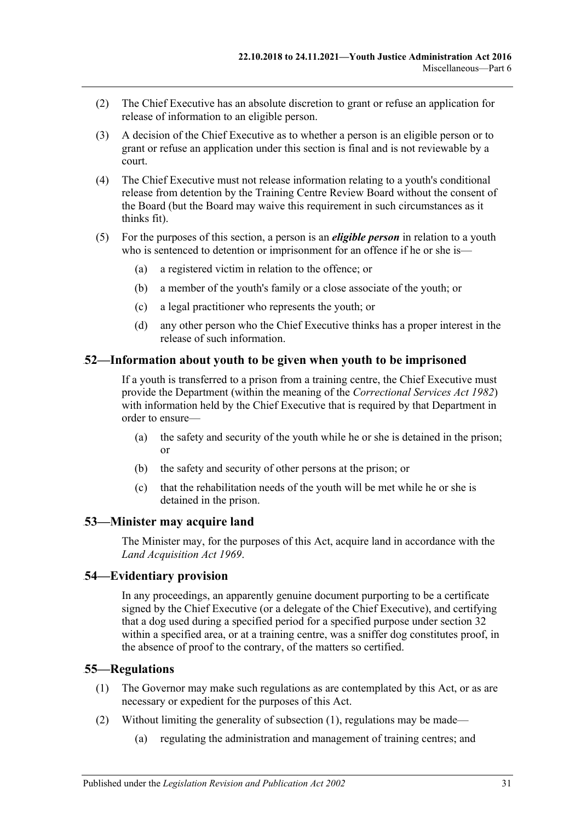- (2) The Chief Executive has an absolute discretion to grant or refuse an application for release of information to an eligible person.
- (3) A decision of the Chief Executive as to whether a person is an eligible person or to grant or refuse an application under this section is final and is not reviewable by a court.
- (4) The Chief Executive must not release information relating to a youth's conditional release from detention by the Training Centre Review Board without the consent of the Board (but the Board may waive this requirement in such circumstances as it thinks fit).
- (5) For the purposes of this section, a person is an *eligible person* in relation to a youth who is sentenced to detention or imprisonment for an offence if he or she is—
	- (a) a registered victim in relation to the offence; or
	- (b) a member of the youth's family or a close associate of the youth; or
	- (c) a legal practitioner who represents the youth; or
	- (d) any other person who the Chief Executive thinks has a proper interest in the release of such information.

#### <span id="page-30-0"></span>28B**52—Information about youth to be given when youth to be imprisoned**

If a youth is transferred to a prison from a training centre, the Chief Executive must provide the Department (within the meaning of the *[Correctional Services Act](http://www.legislation.sa.gov.au/index.aspx?action=legref&type=act&legtitle=Correctional%20Services%20Act%201982) 1982*) with information held by the Chief Executive that is required by that Department in order to ensure—

- (a) the safety and security of the youth while he or she is detained in the prison; or
- (b) the safety and security of other persons at the prison; or
- (c) that the rehabilitation needs of the youth will be met while he or she is detained in the prison.

#### <span id="page-30-1"></span>29B**53—Minister may acquire land**

The Minister may, for the purposes of this Act, acquire land in accordance with the *[Land Acquisition Act](http://www.legislation.sa.gov.au/index.aspx?action=legref&type=act&legtitle=Land%20Acquisition%20Act%201969) 1969*.

#### <span id="page-30-2"></span>30B**54—Evidentiary provision**

In any proceedings, an apparently genuine document purporting to be a certificate signed by the Chief Executive (or a delegate of the Chief Executive), and certifying that a dog used during a specified period for a specified purpose under [section](#page-19-1) 32 within a specified area, or at a training centre, was a sniffer dog constitutes proof, in the absence of proof to the contrary, of the matters so certified.

#### <span id="page-30-4"></span><span id="page-30-3"></span>31B**55—Regulations**

- (1) The Governor may make such regulations as are contemplated by this Act, or as are necessary or expedient for the purposes of this Act.
- (2) Without limiting the generality of [subsection](#page-30-4) (1), regulations may be made—
	- (a) regulating the administration and management of training centres; and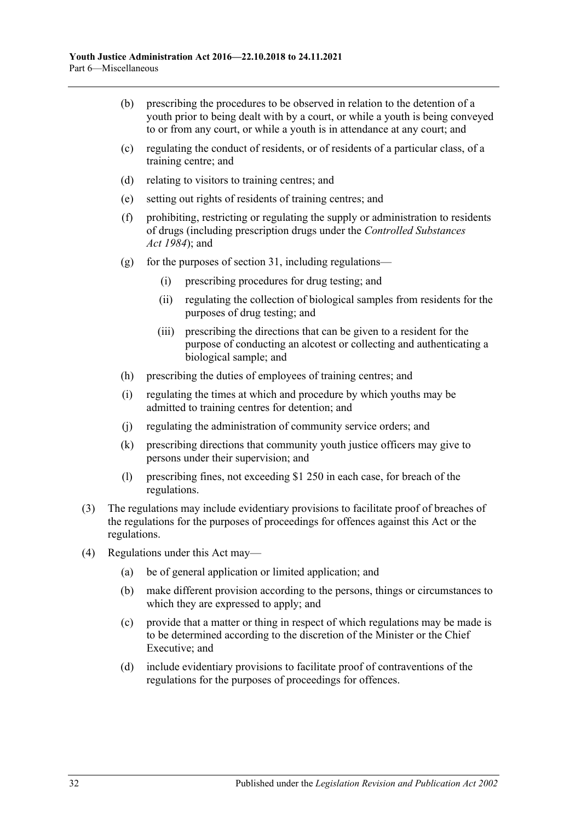- (b) prescribing the procedures to be observed in relation to the detention of a youth prior to being dealt with by a court, or while a youth is being conveyed to or from any court, or while a youth is in attendance at any court; and
- (c) regulating the conduct of residents, or of residents of a particular class, of a training centre; and
- (d) relating to visitors to training centres; and
- (e) setting out rights of residents of training centres; and
- (f) prohibiting, restricting or regulating the supply or administration to residents of drugs (including prescription drugs under the *[Controlled Substances](http://www.legislation.sa.gov.au/index.aspx?action=legref&type=act&legtitle=Controlled%20Substances%20Act%201984)  Act [1984](http://www.legislation.sa.gov.au/index.aspx?action=legref&type=act&legtitle=Controlled%20Substances%20Act%201984)*); and
- (g) for the purposes of [section](#page-19-0) 31, including regulations—
	- (i) prescribing procedures for drug testing; and
	- (ii) regulating the collection of biological samples from residents for the purposes of drug testing; and
	- (iii) prescribing the directions that can be given to a resident for the purpose of conducting an alcotest or collecting and authenticating a biological sample; and
- (h) prescribing the duties of employees of training centres; and
- (i) regulating the times at which and procedure by which youths may be admitted to training centres for detention; and
- (j) regulating the administration of community service orders; and
- (k) prescribing directions that community youth justice officers may give to persons under their supervision; and
- (l) prescribing fines, not exceeding \$1 250 in each case, for breach of the regulations.
- (3) The regulations may include evidentiary provisions to facilitate proof of breaches of the regulations for the purposes of proceedings for offences against this Act or the regulations.
- (4) Regulations under this Act may—
	- (a) be of general application or limited application; and
	- (b) make different provision according to the persons, things or circumstances to which they are expressed to apply; and
	- (c) provide that a matter or thing in respect of which regulations may be made is to be determined according to the discretion of the Minister or the Chief Executive; and
	- (d) include evidentiary provisions to facilitate proof of contraventions of the regulations for the purposes of proceedings for offences.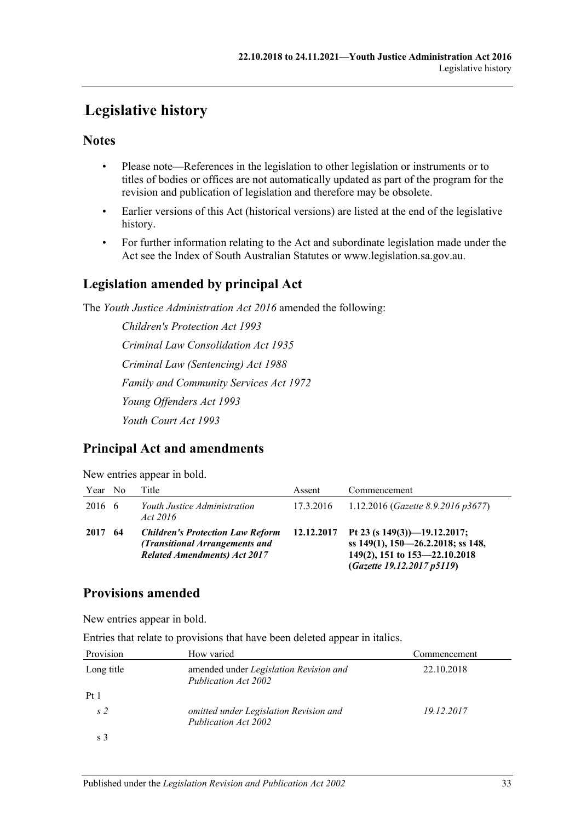# <span id="page-32-0"></span>63B**Legislative history**

# **Notes**

- Please note—References in the legislation to other legislation or instruments or to titles of bodies or offices are not automatically updated as part of the program for the revision and publication of legislation and therefore may be obsolete.
- Earlier versions of this Act (historical versions) are listed at the end of the legislative history.
- For further information relating to the Act and subordinate legislation made under the Act see the Index of South Australian Statutes or www.legislation.sa.gov.au.

# **Legislation amended by principal Act**

The *Youth Justice Administration Act 2016* amended the following:

*Children's Protection Act 1993 Criminal Law Consolidation Act 1935 Criminal Law (Sentencing) Act 1988 Family and Community Services Act 1972 Young Offenders Act 1993 Youth Court Act 1993*

# **Principal Act and amendments**

New entries appear in bold.

| Year No |    | Title                                                                                                            | Assent     | Commencement                                                                                                                        |
|---------|----|------------------------------------------------------------------------------------------------------------------|------------|-------------------------------------------------------------------------------------------------------------------------------------|
| 2016 6  |    | Youth Justice Administration<br>Act 2016                                                                         | 17.3.2016  | 1.12.2016 (Gazette 8.9.2016 p3677)                                                                                                  |
| 2017    | 64 | <b>Children's Protection Law Reform</b><br>(Transitional Arrangements and<br><b>Related Amendments) Act 2017</b> | 12.12.2017 | Pt 23 (s $149(3)$ )-19.12.2017;<br>ss 149(1), 150-26.2.2018; ss 148,<br>149(2), 151 to 153-22.10.2018<br>(Gazette 19.12.2017 p5119) |

# **Provisions amended**

New entries appear in bold.

Entries that relate to provisions that have been deleted appear in italics.

| Provision      | How varied                                                     | Commencement |
|----------------|----------------------------------------------------------------|--------------|
| Long title     | amended under Legislation Revision and<br>Publication Act 2002 | 22.10.2018   |
| Pt1            |                                                                |              |
| s <sub>2</sub> | omitted under Legislation Revision and<br>Publication Act 2002 | 19.12.2017   |
| s 3            |                                                                |              |